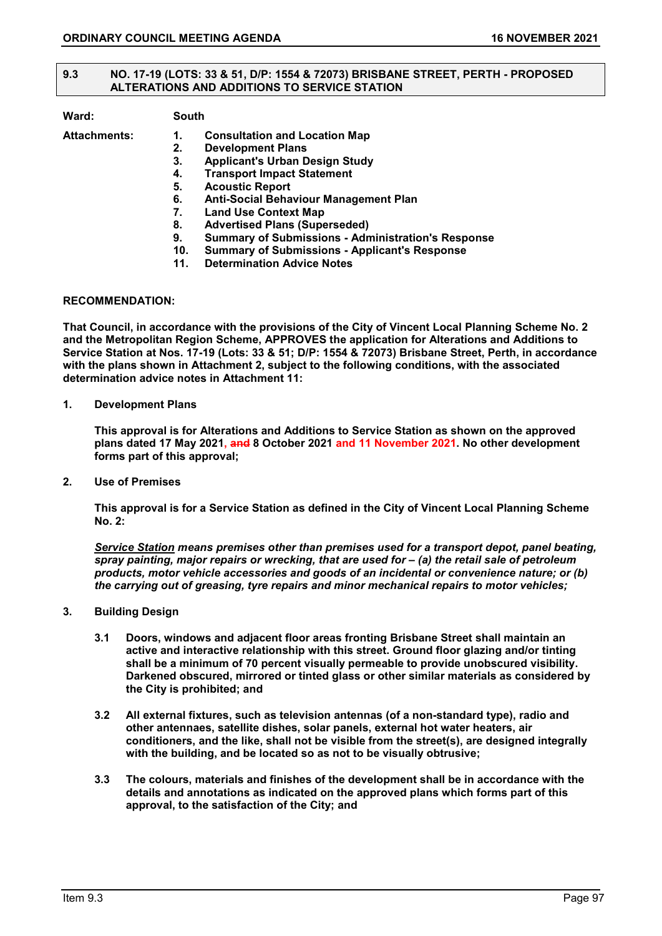### **9.3 NO. 17-19 (LOTS: 33 & 51, D/P: 1554 & 72073) BRISBANE STREET, PERTH - PROPOSED ALTERATIONS AND ADDITIONS TO SERVICE STATION**

| Ward:               |     | <b>South</b>                                              |  |
|---------------------|-----|-----------------------------------------------------------|--|
| <b>Attachments:</b> | 1.  | <b>Consultation and Location Map</b>                      |  |
|                     | 2.  | <b>Development Plans</b>                                  |  |
|                     | 3.  | <b>Applicant's Urban Design Study</b>                     |  |
|                     | 4.  | <b>Transport Impact Statement</b>                         |  |
|                     | 5.  | <b>Acoustic Report</b>                                    |  |
|                     | 6.  | Anti-Social Behaviour Management Plan                     |  |
|                     | 7.  | <b>Land Use Context Map</b>                               |  |
|                     | 8.  | <b>Advertised Plans (Superseded)</b>                      |  |
|                     | 9.  | <b>Summary of Submissions - Administration's Response</b> |  |
|                     | 10. | <b>Summary of Submissions - Applicant's Response</b>      |  |
|                     | 11. | <b>Determination Advice Notes</b>                         |  |

### **RECOMMENDATION:**

**That Council, in accordance with the provisions of the City of Vincent Local Planning Scheme No. 2 and the Metropolitan Region Scheme, APPROVES the application for Alterations and Additions to Service Station at Nos. 17-19 (Lots: 33 & 51; D/P: 1554 & 72073) Brisbane Street, Perth, in accordance with the plans shown in Attachment 2, subject to the following conditions, with the associated determination advice notes in Attachment 11:**

**1. Development Plans**

**This approval is for Alterations and Additions to Service Station as shown on the approved plans dated 17 May 2021, and 8 October 2021 and 11 November 2021. No other development forms part of this approval;**

**2. Use of Premises**

**This approval is for a Service Station as defined in the City of Vincent Local Planning Scheme No. 2:**

*Service Station means premises other than premises used for a transport depot, panel beating, spray painting, major repairs or wrecking, that are used for – (a) the retail sale of petroleum products, motor vehicle accessories and goods of an incidental or convenience nature; or (b) the carrying out of greasing, tyre repairs and minor mechanical repairs to motor vehicles;*

- **3. Building Design**
	- **3.1 Doors, windows and adjacent floor areas fronting Brisbane Street shall maintain an active and interactive relationship with this street. Ground floor glazing and/or tinting shall be a minimum of 70 percent visually permeable to provide unobscured visibility. Darkened obscured, mirrored or tinted glass or other similar materials as considered by the City is prohibited; and**
	- **3.2 All external fixtures, such as television antennas (of a non-standard type), radio and other antennaes, satellite dishes, solar panels, external hot water heaters, air conditioners, and the like, shall not be visible from the street(s), are designed integrally with the building, and be located so as not to be visually obtrusive;**
	- **3.3 The colours, materials and finishes of the development shall be in accordance with the details and annotations as indicated on the approved plans which forms part of this approval, to the satisfaction of the City; and**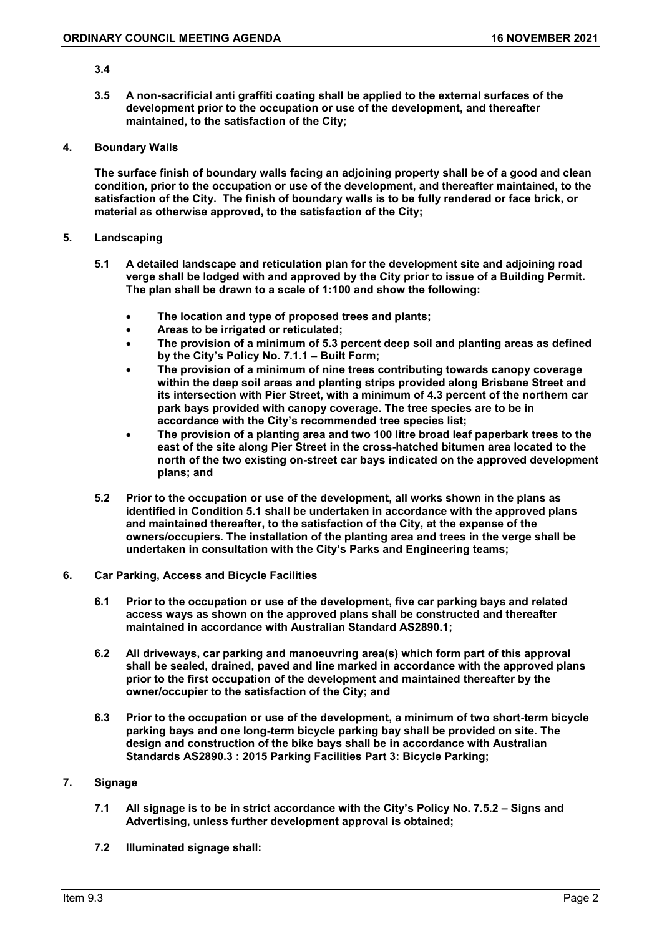### **3.4**

**3.5 A non-sacrificial anti graffiti coating shall be applied to the external surfaces of the development prior to the occupation or use of the development, and thereafter maintained, to the satisfaction of the City;**

#### **4. Boundary Walls**

**The surface finish of boundary walls facing an adjoining property shall be of a good and clean condition, prior to the occupation or use of the development, and thereafter maintained, to the satisfaction of the City. The finish of boundary walls is to be fully rendered or face brick, or material as otherwise approved, to the satisfaction of the City;**

### **5. Landscaping**

- **5.1 A detailed landscape and reticulation plan for the development site and adjoining road verge shall be lodged with and approved by the City prior to issue of a Building Permit. The plan shall be drawn to a scale of 1:100 and show the following:**
	- **The location and type of proposed trees and plants;**
	- **Areas to be irrigated or reticulated;**
	- **The provision of a minimum of 5.3 percent deep soil and planting areas as defined by the City's Policy No. 7.1.1 – Built Form;**
	- **The provision of a minimum of nine trees contributing towards canopy coverage within the deep soil areas and planting strips provided along Brisbane Street and its intersection with Pier Street, with a minimum of 4.3 percent of the northern car park bays provided with canopy coverage. The tree species are to be in accordance with the City's recommended tree species list;**
	- **The provision of a planting area and two 100 litre broad leaf paperbark trees to the east of the site along Pier Street in the cross-hatched bitumen area located to the north of the two existing on-street car bays indicated on the approved development plans; and**
- **5.2 Prior to the occupation or use of the development, all works shown in the plans as identified in Condition 5.1 shall be undertaken in accordance with the approved plans and maintained thereafter, to the satisfaction of the City, at the expense of the owners/occupiers. The installation of the planting area and trees in the verge shall be undertaken in consultation with the City's Parks and Engineering teams;**
- **6. Car Parking, Access and Bicycle Facilities**
	- **6.1 Prior to the occupation or use of the development, five car parking bays and related access ways as shown on the approved plans shall be constructed and thereafter maintained in accordance with Australian Standard AS2890.1;**
	- **6.2 All driveways, car parking and manoeuvring area(s) which form part of this approval shall be sealed, drained, paved and line marked in accordance with the approved plans prior to the first occupation of the development and maintained thereafter by the owner/occupier to the satisfaction of the City; and**
	- **6.3 Prior to the occupation or use of the development, a minimum of two short-term bicycle parking bays and one long-term bicycle parking bay shall be provided on site. The design and construction of the bike bays shall be in accordance with Australian Standards AS2890.3 : 2015 Parking Facilities Part 3: Bicycle Parking;**

# **7. Signage**

- **7.1 All signage is to be in strict accordance with the City's Policy No. 7.5.2 – Signs and Advertising, unless further development approval is obtained;**
- **7.2 Illuminated signage shall:**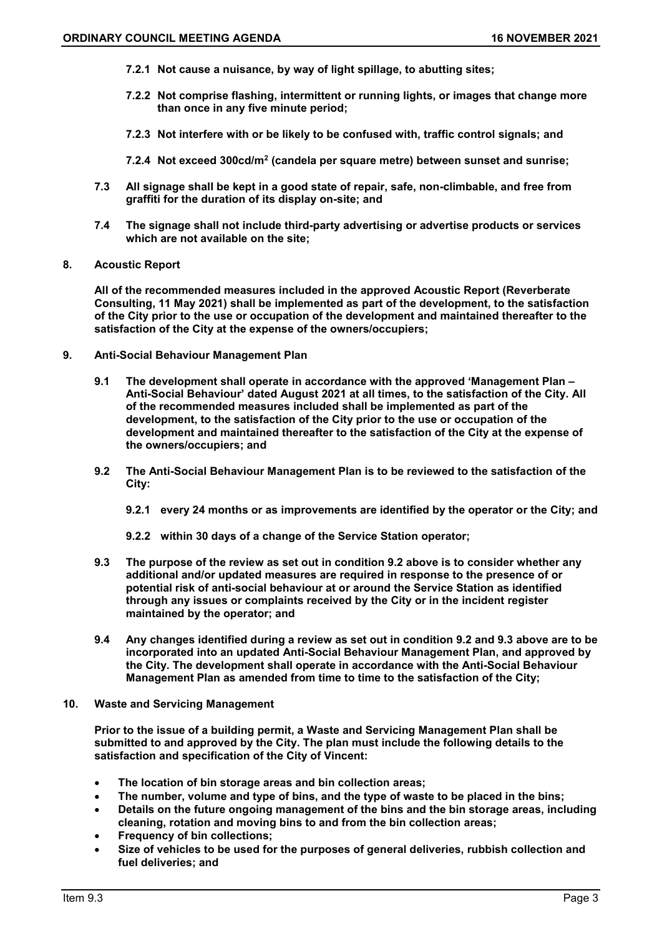- **7.2.1 Not cause a nuisance, by way of light spillage, to abutting sites;**
- **7.2.2 Not comprise flashing, intermittent or running lights, or images that change more than once in any five minute period;**
- **7.2.3 Not interfere with or be likely to be confused with, traffic control signals; and**
- **7.2.4 Not exceed 300cd/m2 (candela per square metre) between sunset and sunrise;**
- **7.3 All signage shall be kept in a good state of repair, safe, non-climbable, and free from graffiti for the duration of its display on-site; and**
- **7.4 The signage shall not include third-party advertising or advertise products or services which are not available on the site;**
- **8. Acoustic Report**

**All of the recommended measures included in the approved Acoustic Report (Reverberate Consulting, 11 May 2021) shall be implemented as part of the development, to the satisfaction of the City prior to the use or occupation of the development and maintained thereafter to the satisfaction of the City at the expense of the owners/occupiers;**

- **9. Anti-Social Behaviour Management Plan**
	- **9.1 The development shall operate in accordance with the approved 'Management Plan – Anti-Social Behaviour' dated August 2021 at all times, to the satisfaction of the City. All of the recommended measures included shall be implemented as part of the development, to the satisfaction of the City prior to the use or occupation of the development and maintained thereafter to the satisfaction of the City at the expense of the owners/occupiers; and**
	- **9.2 The Anti-Social Behaviour Management Plan is to be reviewed to the satisfaction of the City:**
		- **9.2.1 every 24 months or as improvements are identified by the operator or the City; and**
		- **9.2.2 within 30 days of a change of the Service Station operator;**
	- **9.3 The purpose of the review as set out in condition 9.2 above is to consider whether any additional and/or updated measures are required in response to the presence of or potential risk of anti-social behaviour at or around the Service Station as identified through any issues or complaints received by the City or in the incident register maintained by the operator; and**
	- **9.4 Any changes identified during a review as set out in condition 9.2 and 9.3 above are to be incorporated into an updated Anti-Social Behaviour Management Plan, and approved by the City. The development shall operate in accordance with the Anti-Social Behaviour Management Plan as amended from time to time to the satisfaction of the City;**
- **10. Waste and Servicing Management**

**Prior to the issue of a building permit, a Waste and Servicing Management Plan shall be submitted to and approved by the City. The plan must include the following details to the satisfaction and specification of the City of Vincent:**

- **The location of bin storage areas and bin collection areas;**
- **The number, volume and type of bins, and the type of waste to be placed in the bins;**
- **Details on the future ongoing management of the bins and the bin storage areas, including cleaning, rotation and moving bins to and from the bin collection areas;**
- **Frequency of bin collections;**
- **Size of vehicles to be used for the purposes of general deliveries, rubbish collection and fuel deliveries; and**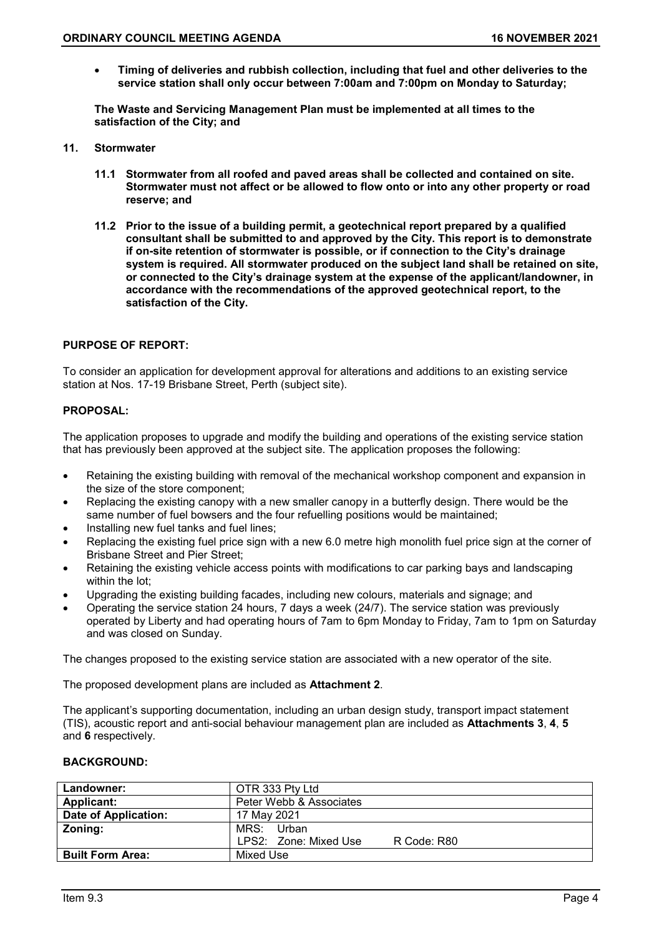• **Timing of deliveries and rubbish collection, including that fuel and other deliveries to the service station shall only occur between 7:00am and 7:00pm on Monday to Saturday;**

**The Waste and Servicing Management Plan must be implemented at all times to the satisfaction of the City; and**

- **11. Stormwater**
	- **11.1 Stormwater from all roofed and paved areas shall be collected and contained on site. Stormwater must not affect or be allowed to flow onto or into any other property or road reserve; and**
	- **11.2 Prior to the issue of a building permit, a geotechnical report prepared by a qualified consultant shall be submitted to and approved by the City. This report is to demonstrate if on-site retention of stormwater is possible, or if connection to the City's drainage system is required. All stormwater produced on the subject land shall be retained on site, or connected to the City's drainage system at the expense of the applicant/landowner, in accordance with the recommendations of the approved geotechnical report, to the satisfaction of the City.**

# **PURPOSE OF REPORT:**

To consider an application for development approval for alterations and additions to an existing service station at Nos. 17-19 Brisbane Street, Perth (subject site).

# **PROPOSAL:**

The application proposes to upgrade and modify the building and operations of the existing service station that has previously been approved at the subject site. The application proposes the following:

- Retaining the existing building with removal of the mechanical workshop component and expansion in the size of the store component;
- Replacing the existing canopy with a new smaller canopy in a butterfly design. There would be the same number of fuel bowsers and the four refuelling positions would be maintained;
- Installing new fuel tanks and fuel lines;
- Replacing the existing fuel price sign with a new 6.0 metre high monolith fuel price sign at the corner of Brisbane Street and Pier Street:
- Retaining the existing vehicle access points with modifications to car parking bays and landscaping within the lot;
- Upgrading the existing building facades, including new colours, materials and signage; and
- Operating the service station 24 hours, 7 days a week (24/7). The service station was previously operated by Liberty and had operating hours of 7am to 6pm Monday to Friday, 7am to 1pm on Saturday and was closed on Sunday.

The changes proposed to the existing service station are associated with a new operator of the site.

The proposed development plans are included as **Attachment 2**.

The applicant's supporting documentation, including an urban design study, transport impact statement (TIS), acoustic report and anti-social behaviour management plan are included as **Attachments 3**, **4**, **5** and **6** respectively.

# **BACKGROUND:**

| Landowner:              | OTR 333 Pty Ltd                      |
|-------------------------|--------------------------------------|
| <b>Applicant:</b>       | Peter Webb & Associates              |
| Date of Application:    | 17 May 2021                          |
| Zoning:                 | MRS:<br>Urban                        |
|                         | LPS2: Zone: Mixed Use<br>R Code: R80 |
| <b>Built Form Area:</b> | Mixed Use                            |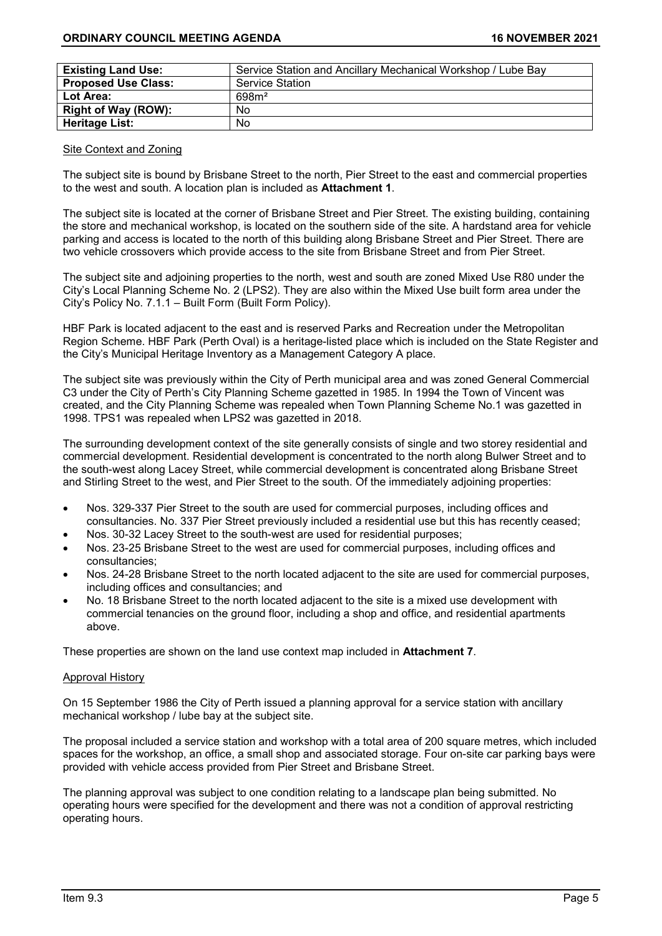| <b>Existing Land Use:</b>  | Service Station and Ancillary Mechanical Workshop / Lube Bay |
|----------------------------|--------------------------------------------------------------|
| <b>Proposed Use Class:</b> | <b>Service Station</b>                                       |
| Lot Area:                  | 698m <sup>2</sup>                                            |
| Right of Way (ROW):        | No                                                           |
| <b>Heritage List:</b>      | No                                                           |

### Site Context and Zoning

The subject site is bound by Brisbane Street to the north, Pier Street to the east and commercial properties to the west and south. A location plan is included as **Attachment 1**.

The subject site is located at the corner of Brisbane Street and Pier Street. The existing building, containing the store and mechanical workshop, is located on the southern side of the site. A hardstand area for vehicle parking and access is located to the north of this building along Brisbane Street and Pier Street. There are two vehicle crossovers which provide access to the site from Brisbane Street and from Pier Street.

The subject site and adjoining properties to the north, west and south are zoned Mixed Use R80 under the City's Local Planning Scheme No. 2 (LPS2). They are also within the Mixed Use built form area under the City's Policy No. 7.1.1 – Built Form (Built Form Policy).

HBF Park is located adjacent to the east and is reserved Parks and Recreation under the Metropolitan Region Scheme. HBF Park (Perth Oval) is a heritage-listed place which is included on the State Register and the City's Municipal Heritage Inventory as a Management Category A place.

The subject site was previously within the City of Perth municipal area and was zoned General Commercial C3 under the City of Perth's City Planning Scheme gazetted in 1985. In 1994 the Town of Vincent was created, and the City Planning Scheme was repealed when Town Planning Scheme No.1 was gazetted in 1998. TPS1 was repealed when LPS2 was gazetted in 2018.

The surrounding development context of the site generally consists of single and two storey residential and commercial development. Residential development is concentrated to the north along Bulwer Street and to the south-west along Lacey Street, while commercial development is concentrated along Brisbane Street and Stirling Street to the west, and Pier Street to the south. Of the immediately adjoining properties:

- Nos. 329-337 Pier Street to the south are used for commercial purposes, including offices and consultancies. No. 337 Pier Street previously included a residential use but this has recently ceased;
- Nos. 30-32 Lacey Street to the south-west are used for residential purposes;
- Nos. 23-25 Brisbane Street to the west are used for commercial purposes, including offices and consultancies;
- Nos. 24-28 Brisbane Street to the north located adjacent to the site are used for commercial purposes, including offices and consultancies; and
- No. 18 Brisbane Street to the north located adjacent to the site is a mixed use development with commercial tenancies on the ground floor, including a shop and office, and residential apartments above.

These properties are shown on the land use context map included in **Attachment 7**.

#### Approval History

On 15 September 1986 the City of Perth issued a planning approval for a service station with ancillary mechanical workshop / lube bay at the subject site.

The proposal included a service station and workshop with a total area of 200 square metres, which included spaces for the workshop, an office, a small shop and associated storage. Four on-site car parking bays were provided with vehicle access provided from Pier Street and Brisbane Street.

The planning approval was subject to one condition relating to a landscape plan being submitted. No operating hours were specified for the development and there was not a condition of approval restricting operating hours.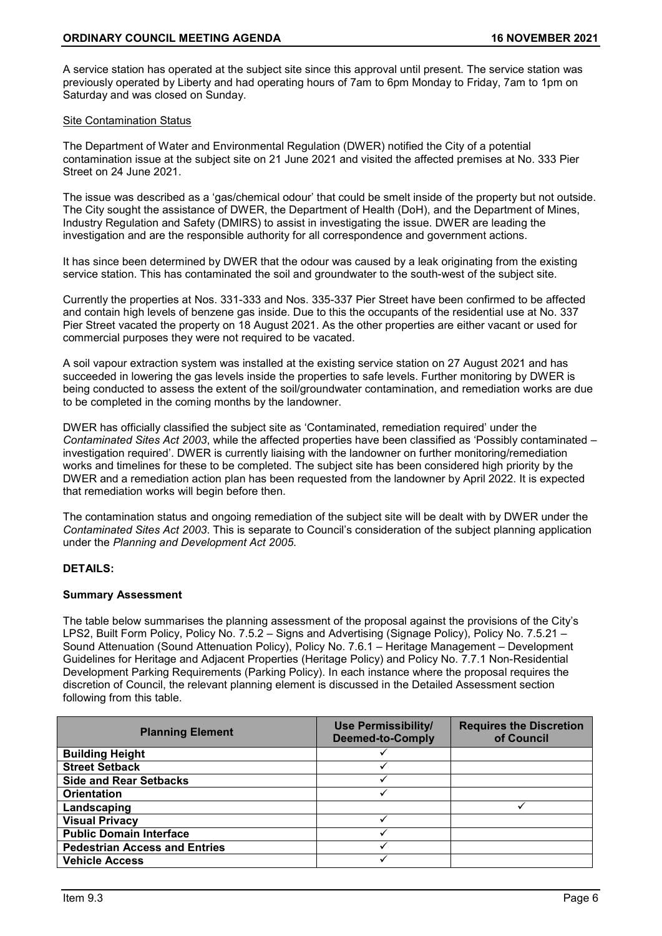A service station has operated at the subject site since this approval until present. The service station was previously operated by Liberty and had operating hours of 7am to 6pm Monday to Friday, 7am to 1pm on Saturday and was closed on Sunday.

### Site Contamination Status

The Department of Water and Environmental Regulation (DWER) notified the City of a potential contamination issue at the subject site on 21 June 2021 and visited the affected premises at No. 333 Pier Street on 24 June 2021.

The issue was described as a 'gas/chemical odour' that could be smelt inside of the property but not outside. The City sought the assistance of DWER, the Department of Health (DoH), and the Department of Mines, Industry Regulation and Safety (DMIRS) to assist in investigating the issue. DWER are leading the investigation and are the responsible authority for all correspondence and government actions.

It has since been determined by DWER that the odour was caused by a leak originating from the existing service station. This has contaminated the soil and groundwater to the south-west of the subject site.

Currently the properties at Nos. 331-333 and Nos. 335-337 Pier Street have been confirmed to be affected and contain high levels of benzene gas inside. Due to this the occupants of the residential use at No. 337 Pier Street vacated the property on 18 August 2021. As the other properties are either vacant or used for commercial purposes they were not required to be vacated.

A soil vapour extraction system was installed at the existing service station on 27 August 2021 and has succeeded in lowering the gas levels inside the properties to safe levels. Further monitoring by DWER is being conducted to assess the extent of the soil/groundwater contamination, and remediation works are due to be completed in the coming months by the landowner.

DWER has officially classified the subject site as 'Contaminated, remediation required' under the *Contaminated Sites Act 2003*, while the affected properties have been classified as 'Possibly contaminated – investigation required'. DWER is currently liaising with the landowner on further monitoring/remediation works and timelines for these to be completed. The subject site has been considered high priority by the DWER and a remediation action plan has been requested from the landowner by April 2022. It is expected that remediation works will begin before then.

The contamination status and ongoing remediation of the subject site will be dealt with by DWER under the *Contaminated Sites Act 2003*. This is separate to Council's consideration of the subject planning application under the *Planning and Development Act 2005*.

# **DETAILS:**

#### **Summary Assessment**

The table below summarises the planning assessment of the proposal against the provisions of the City's LPS2, Built Form Policy, Policy No. 7.5.2 – Signs and Advertising (Signage Policy), Policy No. 7.5.21 – Sound Attenuation (Sound Attenuation Policy), Policy No. 7.6.1 – Heritage Management – Development Guidelines for Heritage and Adjacent Properties (Heritage Policy) and Policy No. 7.7.1 Non-Residential Development Parking Requirements (Parking Policy). In each instance where the proposal requires the discretion of Council, the relevant planning element is discussed in the Detailed Assessment section following from this table.

| <b>Planning Element</b>              | <b>Use Permissibility/</b><br><b>Deemed-to-Comply</b> | <b>Requires the Discretion</b><br>of Council |
|--------------------------------------|-------------------------------------------------------|----------------------------------------------|
| <b>Building Height</b>               |                                                       |                                              |
| <b>Street Setback</b>                |                                                       |                                              |
| <b>Side and Rear Setbacks</b>        |                                                       |                                              |
| <b>Orientation</b>                   |                                                       |                                              |
| Landscaping                          |                                                       |                                              |
| <b>Visual Privacy</b>                |                                                       |                                              |
| <b>Public Domain Interface</b>       |                                                       |                                              |
| <b>Pedestrian Access and Entries</b> |                                                       |                                              |
| <b>Vehicle Access</b>                |                                                       |                                              |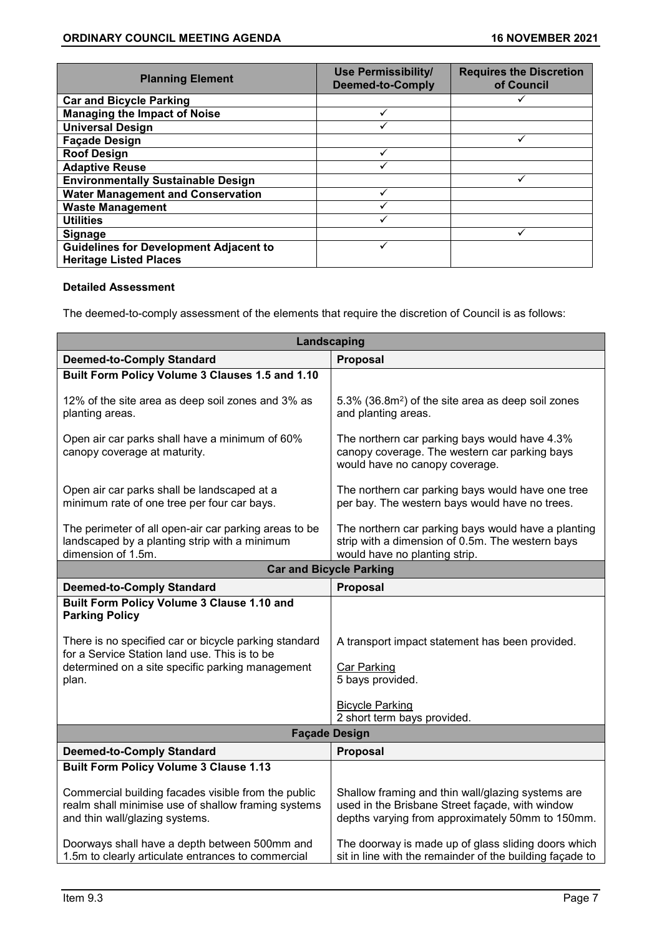| <b>Planning Element</b>                                                        | <b>Use Permissibility/</b><br><b>Deemed-to-Comply</b> | <b>Requires the Discretion</b><br>of Council |
|--------------------------------------------------------------------------------|-------------------------------------------------------|----------------------------------------------|
| <b>Car and Bicycle Parking</b>                                                 |                                                       |                                              |
| <b>Managing the Impact of Noise</b>                                            |                                                       |                                              |
| <b>Universal Design</b>                                                        |                                                       |                                              |
| <b>Façade Design</b>                                                           |                                                       |                                              |
| <b>Roof Design</b>                                                             |                                                       |                                              |
| <b>Adaptive Reuse</b>                                                          |                                                       |                                              |
| <b>Environmentally Sustainable Design</b>                                      |                                                       |                                              |
| <b>Water Management and Conservation</b>                                       |                                                       |                                              |
| <b>Waste Management</b>                                                        |                                                       |                                              |
| <b>Utilities</b>                                                               |                                                       |                                              |
| <b>Signage</b>                                                                 |                                                       |                                              |
| <b>Guidelines for Development Adjacent to</b><br><b>Heritage Listed Places</b> |                                                       |                                              |

# **Detailed Assessment**

The deemed-to-comply assessment of the elements that require the discretion of Council is as follows:

| Landscaping                                                                                                                                  |                                                                                                                                                          |  |  |
|----------------------------------------------------------------------------------------------------------------------------------------------|----------------------------------------------------------------------------------------------------------------------------------------------------------|--|--|
| <b>Deemed-to-Comply Standard</b>                                                                                                             | Proposal                                                                                                                                                 |  |  |
| Built Form Policy Volume 3 Clauses 1.5 and 1.10                                                                                              |                                                                                                                                                          |  |  |
| 12% of the site area as deep soil zones and 3% as<br>planting areas.                                                                         | 5.3% (36.8m <sup>2</sup> ) of the site area as deep soil zones<br>and planting areas.                                                                    |  |  |
| Open air car parks shall have a minimum of 60%<br>canopy coverage at maturity.                                                               | The northern car parking bays would have 4.3%<br>canopy coverage. The western car parking bays<br>would have no canopy coverage.                         |  |  |
| Open air car parks shall be landscaped at a<br>minimum rate of one tree per four car bays.                                                   | The northern car parking bays would have one tree<br>per bay. The western bays would have no trees.                                                      |  |  |
| The perimeter of all open-air car parking areas to be<br>landscaped by a planting strip with a minimum<br>dimension of 1.5m.                 | The northern car parking bays would have a planting<br>strip with a dimension of 0.5m. The western bays<br>would have no planting strip.                 |  |  |
| <b>Car and Bicycle Parking</b>                                                                                                               |                                                                                                                                                          |  |  |
| <b>Deemed-to-Comply Standard</b>                                                                                                             | Proposal                                                                                                                                                 |  |  |
| Built Form Policy Volume 3 Clause 1.10 and<br><b>Parking Policy</b>                                                                          |                                                                                                                                                          |  |  |
| There is no specified car or bicycle parking standard<br>for a Service Station land use. This is to be                                       | A transport impact statement has been provided.                                                                                                          |  |  |
| determined on a site specific parking management<br>plan.                                                                                    | <b>Car Parking</b><br>5 bays provided.                                                                                                                   |  |  |
|                                                                                                                                              | <b>Bicycle Parking</b><br>2 short term bays provided.                                                                                                    |  |  |
| <b>Façade Design</b>                                                                                                                         |                                                                                                                                                          |  |  |
| <b>Deemed-to-Comply Standard</b>                                                                                                             | Proposal                                                                                                                                                 |  |  |
| <b>Built Form Policy Volume 3 Clause 1.13</b>                                                                                                |                                                                                                                                                          |  |  |
| Commercial building facades visible from the public<br>realm shall minimise use of shallow framing systems<br>and thin wall/glazing systems. | Shallow framing and thin wall/glazing systems are<br>used in the Brisbane Street façade, with window<br>depths varying from approximately 50mm to 150mm. |  |  |
| Doorways shall have a depth between 500mm and<br>1.5m to clearly articulate entrances to commercial                                          | The doorway is made up of glass sliding doors which<br>sit in line with the remainder of the building façade to                                          |  |  |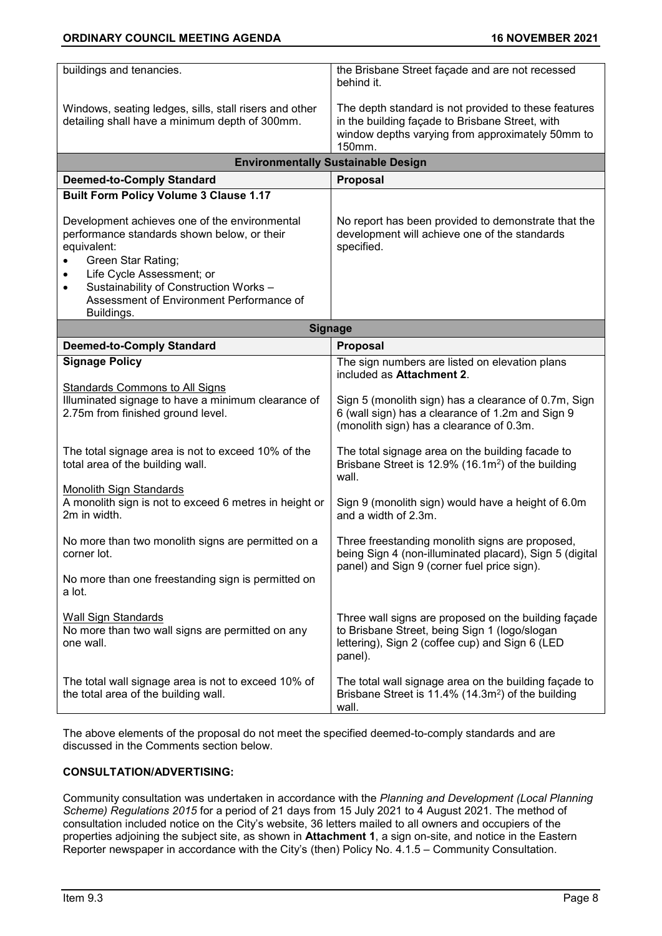| buildings and tenancies.                               | the Brisbane Street façade and are not recessed<br>behind it.                                          |  |  |  |
|--------------------------------------------------------|--------------------------------------------------------------------------------------------------------|--|--|--|
| Windows, seating ledges, sills, stall risers and other | The depth standard is not provided to these features                                                   |  |  |  |
| detailing shall have a minimum depth of 300mm.         | in the building façade to Brisbane Street, with                                                        |  |  |  |
|                                                        | window depths varying from approximately 50mm to                                                       |  |  |  |
|                                                        | 150mm.                                                                                                 |  |  |  |
|                                                        | <b>Environmentally Sustainable Design</b>                                                              |  |  |  |
| <b>Deemed-to-Comply Standard</b>                       | Proposal                                                                                               |  |  |  |
| <b>Built Form Policy Volume 3 Clause 1.17</b>          |                                                                                                        |  |  |  |
| Development achieves one of the environmental          | No report has been provided to demonstrate that the                                                    |  |  |  |
| performance standards shown below, or their            | development will achieve one of the standards                                                          |  |  |  |
| equivalent:                                            | specified.                                                                                             |  |  |  |
| Green Star Rating;                                     |                                                                                                        |  |  |  |
| Life Cycle Assessment; or                              |                                                                                                        |  |  |  |
| Sustainability of Construction Works -<br>$\bullet$    |                                                                                                        |  |  |  |
| Assessment of Environment Performance of               |                                                                                                        |  |  |  |
| Buildings.                                             |                                                                                                        |  |  |  |
| <b>Signage</b>                                         |                                                                                                        |  |  |  |
| <b>Deemed-to-Comply Standard</b>                       | Proposal                                                                                               |  |  |  |
| <b>Signage Policy</b>                                  | The sign numbers are listed on elevation plans<br>included as Attachment 2.                            |  |  |  |
| Standards Commons to All Signs                         |                                                                                                        |  |  |  |
| Illuminated signage to have a minimum clearance of     | Sign 5 (monolith sign) has a clearance of 0.7m, Sign                                                   |  |  |  |
| 2.75m from finished ground level.                      | 6 (wall sign) has a clearance of 1.2m and Sign 9<br>(monolith sign) has a clearance of 0.3m.           |  |  |  |
|                                                        |                                                                                                        |  |  |  |
| The total signage area is not to exceed 10% of the     | The total signage area on the building facade to                                                       |  |  |  |
| total area of the building wall.                       | Brisbane Street is 12.9% (16.1m <sup>2</sup> ) of the building                                         |  |  |  |
|                                                        | wall.                                                                                                  |  |  |  |
| <b>Monolith Sign Standards</b>                         |                                                                                                        |  |  |  |
| A monolith sign is not to exceed 6 metres in height or | Sign 9 (monolith sign) would have a height of 6.0m                                                     |  |  |  |
| 2m in width.                                           | and a width of 2.3m.                                                                                   |  |  |  |
|                                                        |                                                                                                        |  |  |  |
| No more than two monolith signs are permitted on a     | Three freestanding monolith signs are proposed,                                                        |  |  |  |
| corner lot.                                            | being Sign 4 (non-illuminated placard), Sign 5 (digital<br>panel) and Sign 9 (corner fuel price sign). |  |  |  |
| No more than one freestanding sign is permitted on     |                                                                                                        |  |  |  |
| a lot.                                                 |                                                                                                        |  |  |  |
|                                                        |                                                                                                        |  |  |  |
| <b>Wall Sign Standards</b>                             | Three wall signs are proposed on the building façade                                                   |  |  |  |
| No more than two wall signs are permitted on any       | to Brisbane Street, being Sign 1 (logo/slogan                                                          |  |  |  |
| one wall.                                              | lettering), Sign 2 (coffee cup) and Sign 6 (LED                                                        |  |  |  |
|                                                        | panel).                                                                                                |  |  |  |
|                                                        |                                                                                                        |  |  |  |
| The total wall signage area is not to exceed 10% of    | The total wall signage area on the building façade to                                                  |  |  |  |
| the total area of the building wall.                   | Brisbane Street is 11.4% (14.3m <sup>2</sup> ) of the building                                         |  |  |  |
|                                                        | wall.                                                                                                  |  |  |  |

The above elements of the proposal do not meet the specified deemed-to-comply standards and are discussed in the Comments section below.

# **CONSULTATION/ADVERTISING:**

Community consultation was undertaken in accordance with the *Planning and Development (Local Planning Scheme) Regulations 2015* for a period of 21 days from 15 July 2021 to 4 August 2021. The method of consultation included notice on the City's website, 36 letters mailed to all owners and occupiers of the properties adjoining the subject site, as shown in **Attachment 1**, a sign on-site, and notice in the Eastern Reporter newspaper in accordance with the City's (then) Policy No. 4.1.5 – Community Consultation.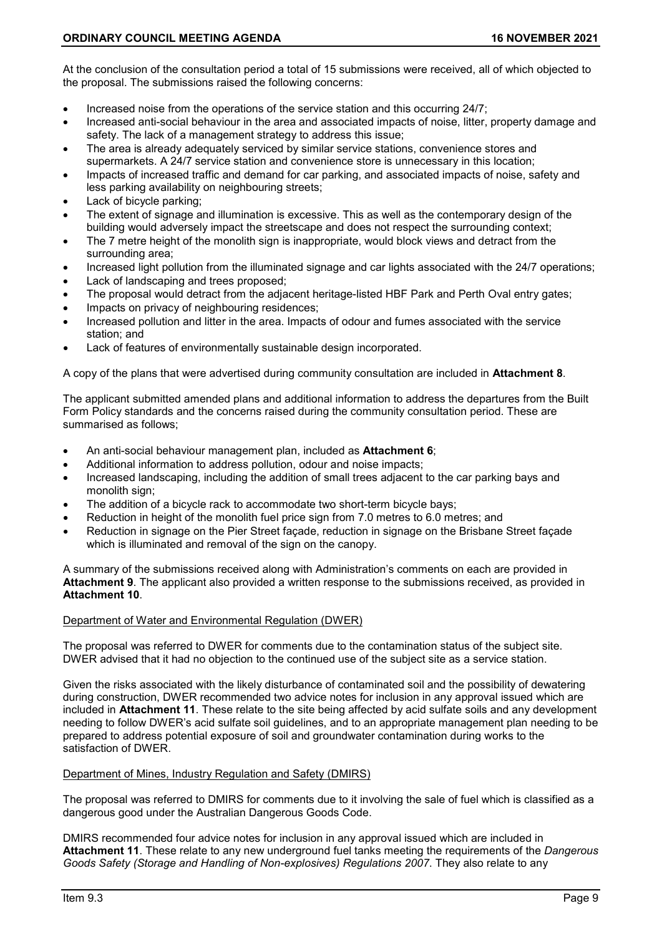At the conclusion of the consultation period a total of 15 submissions were received, all of which objected to the proposal. The submissions raised the following concerns:

- Increased noise from the operations of the service station and this occurring 24/7;
- Increased anti-social behaviour in the area and associated impacts of noise, litter, property damage and safety. The lack of a management strategy to address this issue;
- The area is already adequately serviced by similar service stations, convenience stores and supermarkets. A 24/7 service station and convenience store is unnecessary in this location;
- Impacts of increased traffic and demand for car parking, and associated impacts of noise, safety and less parking availability on neighbouring streets;
- Lack of bicycle parking;
- The extent of signage and illumination is excessive. This as well as the contemporary design of the building would adversely impact the streetscape and does not respect the surrounding context;
- The 7 metre height of the monolith sign is inappropriate, would block views and detract from the surrounding area;
- Increased light pollution from the illuminated signage and car lights associated with the 24/7 operations;
- Lack of landscaping and trees proposed;
- The proposal would detract from the adjacent heritage-listed HBF Park and Perth Oval entry gates;
- Impacts on privacy of neighbouring residences;
- Increased pollution and litter in the area. Impacts of odour and fumes associated with the service station; and
- Lack of features of environmentally sustainable design incorporated.

A copy of the plans that were advertised during community consultation are included in **Attachment 8**.

The applicant submitted amended plans and additional information to address the departures from the Built Form Policy standards and the concerns raised during the community consultation period. These are summarised as follows;

- An anti-social behaviour management plan, included as **Attachment 6**;
- Additional information to address pollution, odour and noise impacts;
- Increased landscaping, including the addition of small trees adjacent to the car parking bays and monolith sign;
- The addition of a bicycle rack to accommodate two short-term bicycle bays;
- Reduction in height of the monolith fuel price sign from 7.0 metres to 6.0 metres; and
- Reduction in signage on the Pier Street façade, reduction in signage on the Brisbane Street façade which is illuminated and removal of the sign on the canopy.

A summary of the submissions received along with Administration's comments on each are provided in **Attachment 9**. The applicant also provided a written response to the submissions received, as provided in **Attachment 10**.

#### Department of Water and Environmental Regulation (DWER)

The proposal was referred to DWER for comments due to the contamination status of the subject site. DWER advised that it had no objection to the continued use of the subject site as a service station.

Given the risks associated with the likely disturbance of contaminated soil and the possibility of dewatering during construction, DWER recommended two advice notes for inclusion in any approval issued which are included in **Attachment 11**. These relate to the site being affected by acid sulfate soils and any development needing to follow DWER's acid sulfate soil guidelines, and to an appropriate management plan needing to be prepared to address potential exposure of soil and groundwater contamination during works to the satisfaction of DWER.

#### Department of Mines, Industry Regulation and Safety (DMIRS)

The proposal was referred to DMIRS for comments due to it involving the sale of fuel which is classified as a dangerous good under the Australian Dangerous Goods Code.

DMIRS recommended four advice notes for inclusion in any approval issued which are included in **Attachment 11**. These relate to any new underground fuel tanks meeting the requirements of the *Dangerous Goods Safety (Storage and Handling of Non-explosives) Regulations 2007*. They also relate to any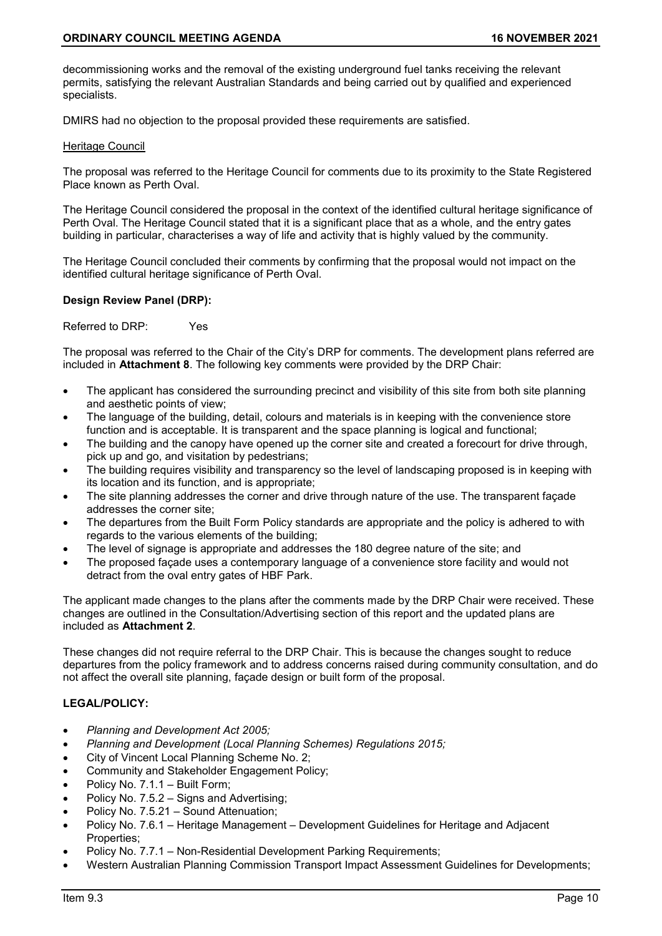decommissioning works and the removal of the existing underground fuel tanks receiving the relevant permits, satisfying the relevant Australian Standards and being carried out by qualified and experienced specialists.

DMIRS had no objection to the proposal provided these requirements are satisfied.

#### Heritage Council

The proposal was referred to the Heritage Council for comments due to its proximity to the State Registered Place known as Perth Oval.

The Heritage Council considered the proposal in the context of the identified cultural heritage significance of Perth Oval. The Heritage Council stated that it is a significant place that as a whole, and the entry gates building in particular, characterises a way of life and activity that is highly valued by the community.

The Heritage Council concluded their comments by confirming that the proposal would not impact on the identified cultural heritage significance of Perth Oval.

### **Design Review Panel (DRP):**

Referred to DRP: Yes

The proposal was referred to the Chair of the City's DRP for comments. The development plans referred are included in **Attachment 8**. The following key comments were provided by the DRP Chair:

- The applicant has considered the surrounding precinct and visibility of this site from both site planning and aesthetic points of view;
- The language of the building, detail, colours and materials is in keeping with the convenience store function and is acceptable. It is transparent and the space planning is logical and functional;
- The building and the canopy have opened up the corner site and created a forecourt for drive through, pick up and go, and visitation by pedestrians;
- The building requires visibility and transparency so the level of landscaping proposed is in keeping with its location and its function, and is appropriate;
- The site planning addresses the corner and drive through nature of the use. The transparent façade addresses the corner site;
- The departures from the Built Form Policy standards are appropriate and the policy is adhered to with regards to the various elements of the building;
- The level of signage is appropriate and addresses the 180 degree nature of the site; and
- The proposed façade uses a contemporary language of a convenience store facility and would not detract from the oval entry gates of HBF Park.

The applicant made changes to the plans after the comments made by the DRP Chair were received. These changes are outlined in the Consultation/Advertising section of this report and the updated plans are included as **Attachment 2**.

These changes did not require referral to the DRP Chair. This is because the changes sought to reduce departures from the policy framework and to address concerns raised during community consultation, and do not affect the overall site planning, façade design or built form of the proposal.

# **LEGAL/POLICY:**

- *Planning and Development Act 2005;*
- *Planning and Development (Local Planning Schemes) Regulations 2015;*
- City of Vincent Local Planning Scheme No. 2;
- Community and Stakeholder Engagement Policy;
- Policy No. 7.1.1 Built Form;
- Policy No. 7.5.2 Signs and Advertising;
- Policy No. 7.5.21 Sound Attenuation;
- Policy No. 7.6.1 Heritage Management Development Guidelines for Heritage and Adjacent Properties;
- Policy No. 7.7.1 Non-Residential Development Parking Requirements;
- Western Australian Planning Commission Transport Impact Assessment Guidelines for Developments;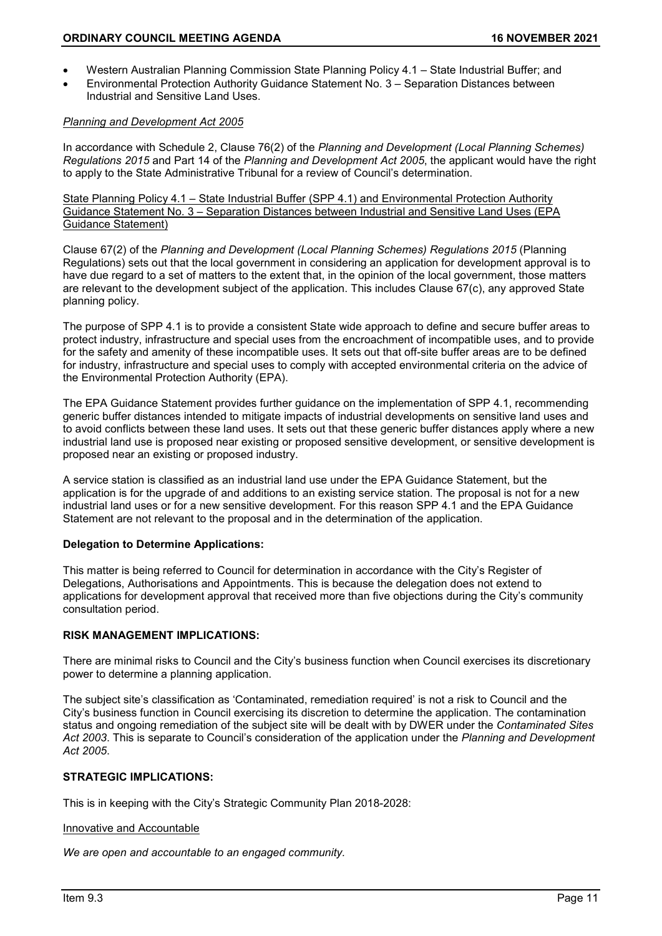- Western Australian Planning Commission State Planning Policy 4.1 State Industrial Buffer; and
- Environmental Protection Authority Guidance Statement No. 3 Separation Distances between Industrial and Sensitive Land Uses.

### *Planning and Development Act 2005*

In accordance with Schedule 2, Clause 76(2) of the *Planning and Development (Local Planning Schemes) Regulations 2015* and Part 14 of the *Planning and Development Act 2005*, the applicant would have the right to apply to the State Administrative Tribunal for a review of Council's determination.

State Planning Policy 4.1 – State Industrial Buffer (SPP 4.1) and Environmental Protection Authority Guidance Statement No. 3 – Separation Distances between Industrial and Sensitive Land Uses (EPA Guidance Statement)

Clause 67(2) of the *Planning and Development (Local Planning Schemes) Regulations 2015* (Planning Regulations) sets out that the local government in considering an application for development approval is to have due regard to a set of matters to the extent that, in the opinion of the local government, those matters are relevant to the development subject of the application. This includes Clause 67(c), any approved State planning policy.

The purpose of SPP 4.1 is to provide a consistent State wide approach to define and secure buffer areas to protect industry, infrastructure and special uses from the encroachment of incompatible uses, and to provide for the safety and amenity of these incompatible uses. It sets out that off-site buffer areas are to be defined for industry, infrastructure and special uses to comply with accepted environmental criteria on the advice of the Environmental Protection Authority (EPA).

The EPA Guidance Statement provides further guidance on the implementation of SPP 4.1, recommending generic buffer distances intended to mitigate impacts of industrial developments on sensitive land uses and to avoid conflicts between these land uses. It sets out that these generic buffer distances apply where a new industrial land use is proposed near existing or proposed sensitive development, or sensitive development is proposed near an existing or proposed industry.

A service station is classified as an industrial land use under the EPA Guidance Statement, but the application is for the upgrade of and additions to an existing service station. The proposal is not for a new industrial land uses or for a new sensitive development. For this reason SPP 4.1 and the EPA Guidance Statement are not relevant to the proposal and in the determination of the application.

# **Delegation to Determine Applications:**

This matter is being referred to Council for determination in accordance with the City's Register of Delegations, Authorisations and Appointments. This is because the delegation does not extend to applications for development approval that received more than five objections during the City's community consultation period.

# **RISK MANAGEMENT IMPLICATIONS:**

There are minimal risks to Council and the City's business function when Council exercises its discretionary power to determine a planning application.

The subject site's classification as 'Contaminated, remediation required' is not a risk to Council and the City's business function in Council exercising its discretion to determine the application. The contamination status and ongoing remediation of the subject site will be dealt with by DWER under the *Contaminated Sites Act 2003*. This is separate to Council's consideration of the application under the *Planning and Development Act 2005*.

# **STRATEGIC IMPLICATIONS:**

This is in keeping with the City's Strategic Community Plan 2018-2028:

#### Innovative and Accountable

*We are open and accountable to an engaged community.*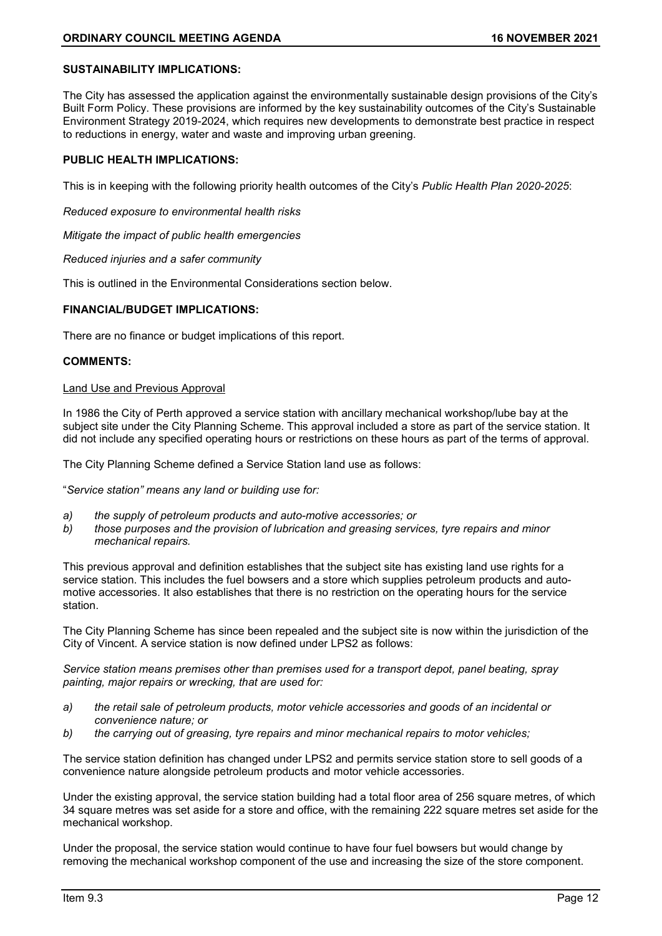# **SUSTAINABILITY IMPLICATIONS:**

The City has assessed the application against the environmentally sustainable design provisions of the City's Built Form Policy. These provisions are informed by the key sustainability outcomes of the City's Sustainable Environment Strategy 2019-2024, which requires new developments to demonstrate best practice in respect to reductions in energy, water and waste and improving urban greening.

### **PUBLIC HEALTH IMPLICATIONS:**

This is in keeping with the following priority health outcomes of the City's *Public Health Plan 2020-2025*:

*Reduced exposure to environmental health risks*

*Mitigate the impact of public health emergencies*

*Reduced injuries and a safer community*

This is outlined in the Environmental Considerations section below.

### **FINANCIAL/BUDGET IMPLICATIONS:**

There are no finance or budget implications of this report.

#### **COMMENTS:**

### Land Use and Previous Approval

In 1986 the City of Perth approved a service station with ancillary mechanical workshop/lube bay at the subject site under the City Planning Scheme. This approval included a store as part of the service station. It did not include any specified operating hours or restrictions on these hours as part of the terms of approval.

The City Planning Scheme defined a Service Station land use as follows:

"*Service station" means any land or building use for:*

- *a) the supply of petroleum products and auto-motive accessories; or*
- *b) those purposes and the provision of lubrication and greasing services, tyre repairs and minor mechanical repairs.*

This previous approval and definition establishes that the subject site has existing land use rights for a service station. This includes the fuel bowsers and a store which supplies petroleum products and automotive accessories. It also establishes that there is no restriction on the operating hours for the service station.

The City Planning Scheme has since been repealed and the subject site is now within the jurisdiction of the City of Vincent. A service station is now defined under LPS2 as follows:

*Service station means premises other than premises used for a transport depot, panel beating, spray painting, major repairs or wrecking, that are used for:*

- *a) the retail sale of petroleum products, motor vehicle accessories and goods of an incidental or convenience nature; or*
- *b) the carrying out of greasing, tyre repairs and minor mechanical repairs to motor vehicles;*

The service station definition has changed under LPS2 and permits service station store to sell goods of a convenience nature alongside petroleum products and motor vehicle accessories.

Under the existing approval, the service station building had a total floor area of 256 square metres, of which 34 square metres was set aside for a store and office, with the remaining 222 square metres set aside for the mechanical workshop.

Under the proposal, the service station would continue to have four fuel bowsers but would change by removing the mechanical workshop component of the use and increasing the size of the store component.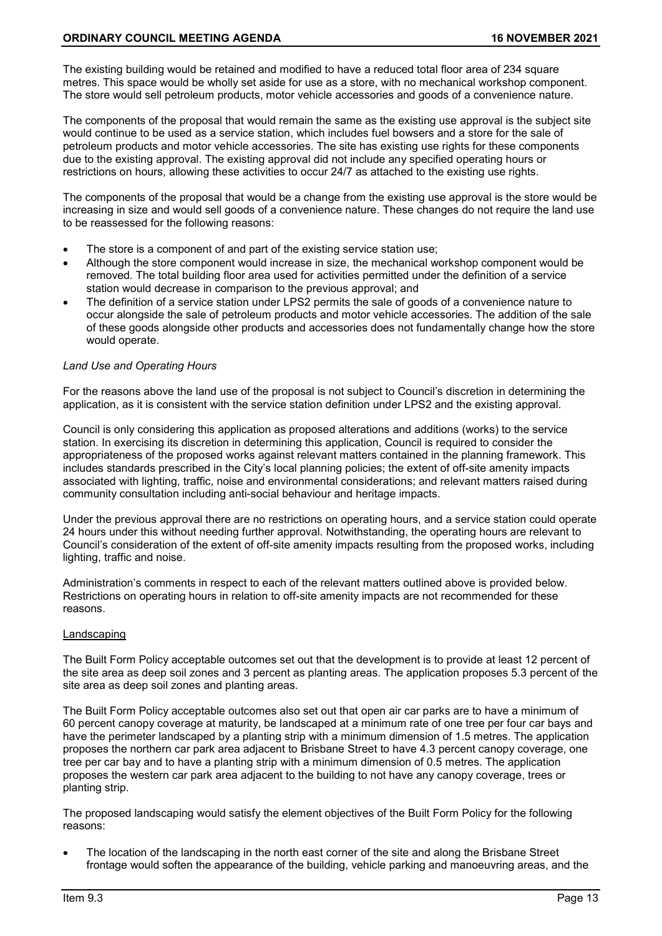The existing building would be retained and modified to have a reduced total floor area of 234 square metres. This space would be wholly set aside for use as a store, with no mechanical workshop component. The store would sell petroleum products, motor vehicle accessories and goods of a convenience nature.

The components of the proposal that would remain the same as the existing use approval is the subject site would continue to be used as a service station, which includes fuel bowsers and a store for the sale of petroleum products and motor vehicle accessories. The site has existing use rights for these components due to the existing approval. The existing approval did not include any specified operating hours or restrictions on hours, allowing these activities to occur 24/7 as attached to the existing use rights.

The components of the proposal that would be a change from the existing use approval is the store would be increasing in size and would sell goods of a convenience nature. These changes do not require the land use to be reassessed for the following reasons:

- The store is a component of and part of the existing service station use;
- Although the store component would increase in size, the mechanical workshop component would be removed. The total building floor area used for activities permitted under the definition of a service station would decrease in comparison to the previous approval; and
- The definition of a service station under LPS2 permits the sale of goods of a convenience nature to occur alongside the sale of petroleum products and motor vehicle accessories. The addition of the sale of these goods alongside other products and accessories does not fundamentally change how the store would operate.

### *Land Use and Operating Hours*

For the reasons above the land use of the proposal is not subject to Council's discretion in determining the application, as it is consistent with the service station definition under LPS2 and the existing approval.

Council is only considering this application as proposed alterations and additions (works) to the service station. In exercising its discretion in determining this application, Council is required to consider the appropriateness of the proposed works against relevant matters contained in the planning framework. This includes standards prescribed in the City's local planning policies; the extent of off-site amenity impacts associated with lighting, traffic, noise and environmental considerations; and relevant matters raised during community consultation including anti-social behaviour and heritage impacts.

Under the previous approval there are no restrictions on operating hours, and a service station could operate 24 hours under this without needing further approval. Notwithstanding, the operating hours are relevant to Council's consideration of the extent of off-site amenity impacts resulting from the proposed works, including lighting, traffic and noise.

Administration's comments in respect to each of the relevant matters outlined above is provided below. Restrictions on operating hours in relation to off-site amenity impacts are not recommended for these reasons.

#### Landscaping

The Built Form Policy acceptable outcomes set out that the development is to provide at least 12 percent of the site area as deep soil zones and 3 percent as planting areas. The application proposes 5.3 percent of the site area as deep soil zones and planting areas.

The Built Form Policy acceptable outcomes also set out that open air car parks are to have a minimum of 60 percent canopy coverage at maturity, be landscaped at a minimum rate of one tree per four car bays and have the perimeter landscaped by a planting strip with a minimum dimension of 1.5 metres. The application proposes the northern car park area adjacent to Brisbane Street to have 4.3 percent canopy coverage, one tree per car bay and to have a planting strip with a minimum dimension of 0.5 metres. The application proposes the western car park area adjacent to the building to not have any canopy coverage, trees or planting strip.

The proposed landscaping would satisfy the element objectives of the Built Form Policy for the following reasons:

The location of the landscaping in the north east corner of the site and along the Brisbane Street frontage would soften the appearance of the building, vehicle parking and manoeuvring areas, and the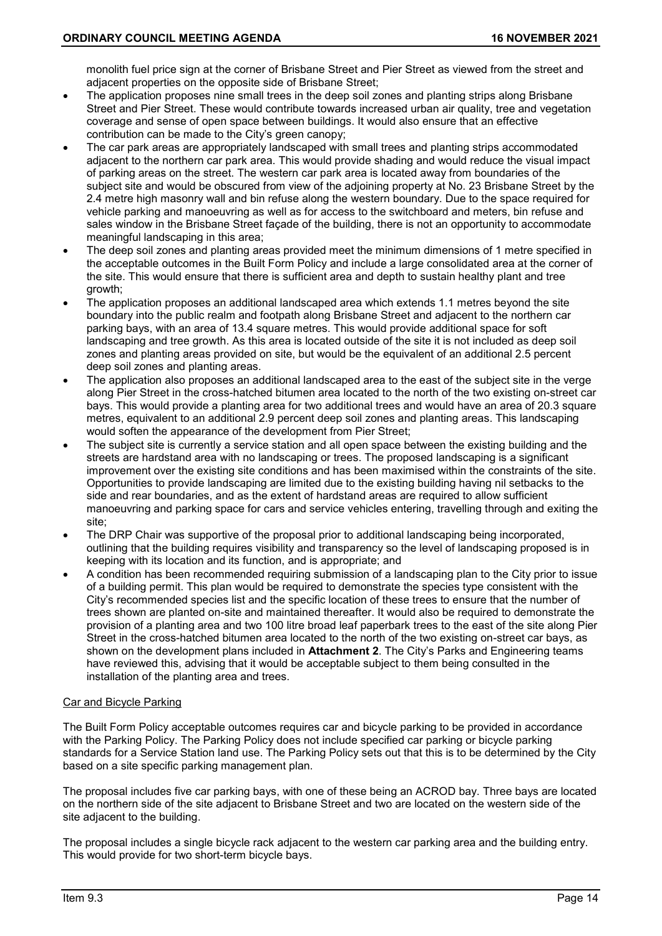monolith fuel price sign at the corner of Brisbane Street and Pier Street as viewed from the street and adjacent properties on the opposite side of Brisbane Street;

- The application proposes nine small trees in the deep soil zones and planting strips along Brisbane Street and Pier Street. These would contribute towards increased urban air quality, tree and vegetation coverage and sense of open space between buildings. It would also ensure that an effective contribution can be made to the City's green canopy;
- The car park areas are appropriately landscaped with small trees and planting strips accommodated adjacent to the northern car park area. This would provide shading and would reduce the visual impact of parking areas on the street. The western car park area is located away from boundaries of the subject site and would be obscured from view of the adjoining property at No. 23 Brisbane Street by the 2.4 metre high masonry wall and bin refuse along the western boundary. Due to the space required for vehicle parking and manoeuvring as well as for access to the switchboard and meters, bin refuse and sales window in the Brisbane Street façade of the building, there is not an opportunity to accommodate meaningful landscaping in this area;
- The deep soil zones and planting areas provided meet the minimum dimensions of 1 metre specified in the acceptable outcomes in the Built Form Policy and include a large consolidated area at the corner of the site. This would ensure that there is sufficient area and depth to sustain healthy plant and tree growth;
- The application proposes an additional landscaped area which extends 1.1 metres beyond the site boundary into the public realm and footpath along Brisbane Street and adjacent to the northern car parking bays, with an area of 13.4 square metres. This would provide additional space for soft landscaping and tree growth. As this area is located outside of the site it is not included as deep soil zones and planting areas provided on site, but would be the equivalent of an additional 2.5 percent deep soil zones and planting areas.
- The application also proposes an additional landscaped area to the east of the subject site in the verge along Pier Street in the cross-hatched bitumen area located to the north of the two existing on-street car bays. This would provide a planting area for two additional trees and would have an area of 20.3 square metres, equivalent to an additional 2.9 percent deep soil zones and planting areas. This landscaping would soften the appearance of the development from Pier Street;
- The subject site is currently a service station and all open space between the existing building and the streets are hardstand area with no landscaping or trees. The proposed landscaping is a significant improvement over the existing site conditions and has been maximised within the constraints of the site. Opportunities to provide landscaping are limited due to the existing building having nil setbacks to the side and rear boundaries, and as the extent of hardstand areas are required to allow sufficient manoeuvring and parking space for cars and service vehicles entering, travelling through and exiting the site;
- The DRP Chair was supportive of the proposal prior to additional landscaping being incorporated, outlining that the building requires visibility and transparency so the level of landscaping proposed is in keeping with its location and its function, and is appropriate; and
- A condition has been recommended requiring submission of a landscaping plan to the City prior to issue of a building permit. This plan would be required to demonstrate the species type consistent with the City's recommended species list and the specific location of these trees to ensure that the number of trees shown are planted on-site and maintained thereafter. It would also be required to demonstrate the provision of a planting area and two 100 litre broad leaf paperbark trees to the east of the site along Pier Street in the cross-hatched bitumen area located to the north of the two existing on-street car bays, as shown on the development plans included in **Attachment 2**. The City's Parks and Engineering teams have reviewed this, advising that it would be acceptable subject to them being consulted in the installation of the planting area and trees.

# Car and Bicycle Parking

The Built Form Policy acceptable outcomes requires car and bicycle parking to be provided in accordance with the Parking Policy. The Parking Policy does not include specified car parking or bicycle parking standards for a Service Station land use. The Parking Policy sets out that this is to be determined by the City based on a site specific parking management plan.

The proposal includes five car parking bays, with one of these being an ACROD bay. Three bays are located on the northern side of the site adjacent to Brisbane Street and two are located on the western side of the site adjacent to the building.

The proposal includes a single bicycle rack adjacent to the western car parking area and the building entry. This would provide for two short-term bicycle bays.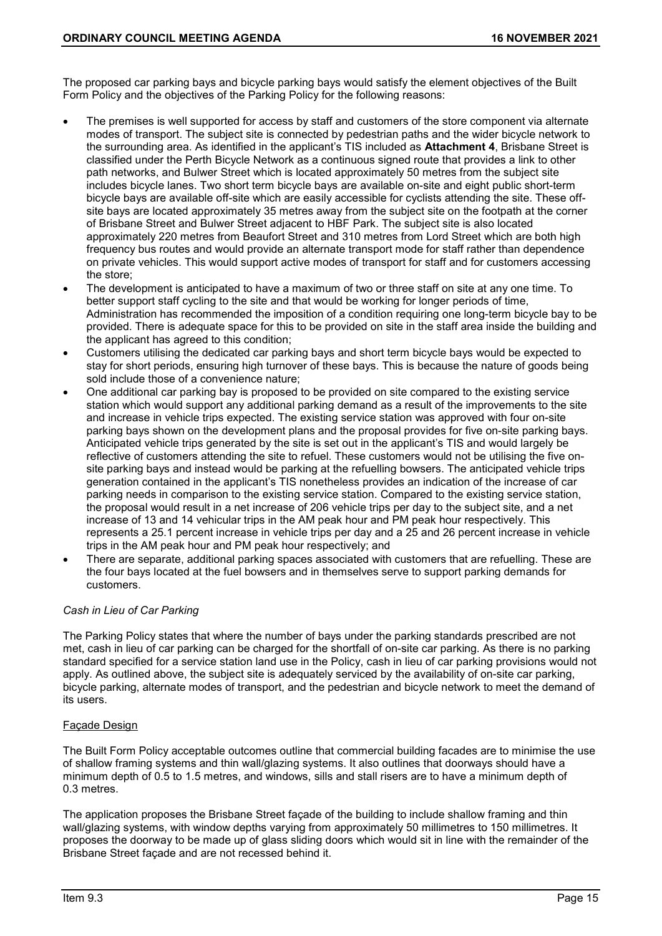The proposed car parking bays and bicycle parking bays would satisfy the element objectives of the Built Form Policy and the objectives of the Parking Policy for the following reasons:

- The premises is well supported for access by staff and customers of the store component via alternate modes of transport. The subject site is connected by pedestrian paths and the wider bicycle network to the surrounding area. As identified in the applicant's TIS included as **Attachment 4**, Brisbane Street is classified under the Perth Bicycle Network as a continuous signed route that provides a link to other path networks, and Bulwer Street which is located approximately 50 metres from the subject site includes bicycle lanes. Two short term bicycle bays are available on-site and eight public short-term bicycle bays are available off-site which are easily accessible for cyclists attending the site. These offsite bays are located approximately 35 metres away from the subject site on the footpath at the corner of Brisbane Street and Bulwer Street adjacent to HBF Park. The subject site is also located approximately 220 metres from Beaufort Street and 310 metres from Lord Street which are both high frequency bus routes and would provide an alternate transport mode for staff rather than dependence on private vehicles. This would support active modes of transport for staff and for customers accessing the store;
- The development is anticipated to have a maximum of two or three staff on site at any one time. To better support staff cycling to the site and that would be working for longer periods of time, Administration has recommended the imposition of a condition requiring one long-term bicycle bay to be provided. There is adequate space for this to be provided on site in the staff area inside the building and the applicant has agreed to this condition;
- Customers utilising the dedicated car parking bays and short term bicycle bays would be expected to stay for short periods, ensuring high turnover of these bays. This is because the nature of goods being sold include those of a convenience nature;
- One additional car parking bay is proposed to be provided on site compared to the existing service station which would support any additional parking demand as a result of the improvements to the site and increase in vehicle trips expected. The existing service station was approved with four on-site parking bays shown on the development plans and the proposal provides for five on-site parking bays. Anticipated vehicle trips generated by the site is set out in the applicant's TIS and would largely be reflective of customers attending the site to refuel. These customers would not be utilising the five onsite parking bays and instead would be parking at the refuelling bowsers. The anticipated vehicle trips generation contained in the applicant's TIS nonetheless provides an indication of the increase of car parking needs in comparison to the existing service station. Compared to the existing service station, the proposal would result in a net increase of 206 vehicle trips per day to the subject site, and a net increase of 13 and 14 vehicular trips in the AM peak hour and PM peak hour respectively. This represents a 25.1 percent increase in vehicle trips per day and a 25 and 26 percent increase in vehicle trips in the AM peak hour and PM peak hour respectively; and
- There are separate, additional parking spaces associated with customers that are refuelling. These are the four bays located at the fuel bowsers and in themselves serve to support parking demands for customers.

# *Cash in Lieu of Car Parking*

The Parking Policy states that where the number of bays under the parking standards prescribed are not met, cash in lieu of car parking can be charged for the shortfall of on-site car parking. As there is no parking standard specified for a service station land use in the Policy, cash in lieu of car parking provisions would not apply. As outlined above, the subject site is adequately serviced by the availability of on-site car parking, bicycle parking, alternate modes of transport, and the pedestrian and bicycle network to meet the demand of its users.

# Façade Design

The Built Form Policy acceptable outcomes outline that commercial building facades are to minimise the use of shallow framing systems and thin wall/glazing systems. It also outlines that doorways should have a minimum depth of 0.5 to 1.5 metres, and windows, sills and stall risers are to have a minimum depth of 0.3 metres.

The application proposes the Brisbane Street façade of the building to include shallow framing and thin wall/glazing systems, with window depths varying from approximately 50 millimetres to 150 millimetres. It proposes the doorway to be made up of glass sliding doors which would sit in line with the remainder of the Brisbane Street façade and are not recessed behind it.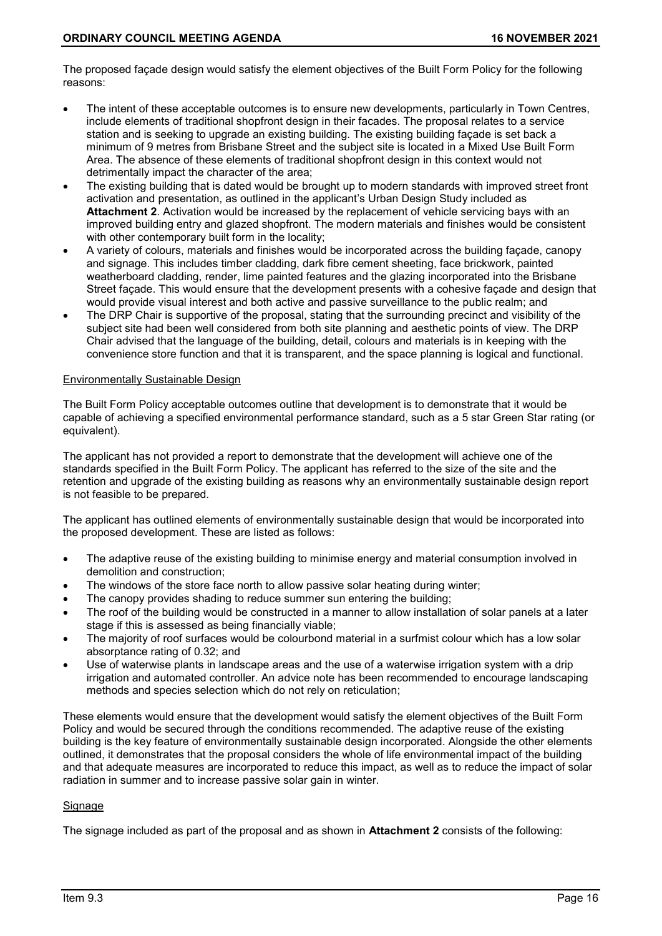The proposed façade design would satisfy the element objectives of the Built Form Policy for the following reasons:

- The intent of these acceptable outcomes is to ensure new developments, particularly in Town Centres, include elements of traditional shopfront design in their facades. The proposal relates to a service station and is seeking to upgrade an existing building. The existing building façade is set back a minimum of 9 metres from Brisbane Street and the subject site is located in a Mixed Use Built Form Area. The absence of these elements of traditional shopfront design in this context would not detrimentally impact the character of the area;
- The existing building that is dated would be brought up to modern standards with improved street front activation and presentation, as outlined in the applicant's Urban Design Study included as **Attachment 2**. Activation would be increased by the replacement of vehicle servicing bays with an improved building entry and glazed shopfront. The modern materials and finishes would be consistent with other contemporary built form in the locality;
- A variety of colours, materials and finishes would be incorporated across the building façade, canopy and signage. This includes timber cladding, dark fibre cement sheeting, face brickwork, painted weatherboard cladding, render, lime painted features and the glazing incorporated into the Brisbane Street façade. This would ensure that the development presents with a cohesive façade and design that would provide visual interest and both active and passive surveillance to the public realm; and
- The DRP Chair is supportive of the proposal, stating that the surrounding precinct and visibility of the subject site had been well considered from both site planning and aesthetic points of view. The DRP Chair advised that the language of the building, detail, colours and materials is in keeping with the convenience store function and that it is transparent, and the space planning is logical and functional.

#### Environmentally Sustainable Design

The Built Form Policy acceptable outcomes outline that development is to demonstrate that it would be capable of achieving a specified environmental performance standard, such as a 5 star Green Star rating (or equivalent).

The applicant has not provided a report to demonstrate that the development will achieve one of the standards specified in the Built Form Policy. The applicant has referred to the size of the site and the retention and upgrade of the existing building as reasons why an environmentally sustainable design report is not feasible to be prepared.

The applicant has outlined elements of environmentally sustainable design that would be incorporated into the proposed development. These are listed as follows:

- The adaptive reuse of the existing building to minimise energy and material consumption involved in demolition and construction;
- The windows of the store face north to allow passive solar heating during winter;
- The canopy provides shading to reduce summer sun entering the building;
- The roof of the building would be constructed in a manner to allow installation of solar panels at a later stage if this is assessed as being financially viable;
- The majority of roof surfaces would be colourbond material in a surfmist colour which has a low solar absorptance rating of 0.32; and
- Use of waterwise plants in landscape areas and the use of a waterwise irrigation system with a drip irrigation and automated controller. An advice note has been recommended to encourage landscaping methods and species selection which do not rely on reticulation;

These elements would ensure that the development would satisfy the element objectives of the Built Form Policy and would be secured through the conditions recommended. The adaptive reuse of the existing building is the key feature of environmentally sustainable design incorporated. Alongside the other elements outlined, it demonstrates that the proposal considers the whole of life environmental impact of the building and that adequate measures are incorporated to reduce this impact, as well as to reduce the impact of solar radiation in summer and to increase passive solar gain in winter.

# **Signage**

The signage included as part of the proposal and as shown in **Attachment 2** consists of the following: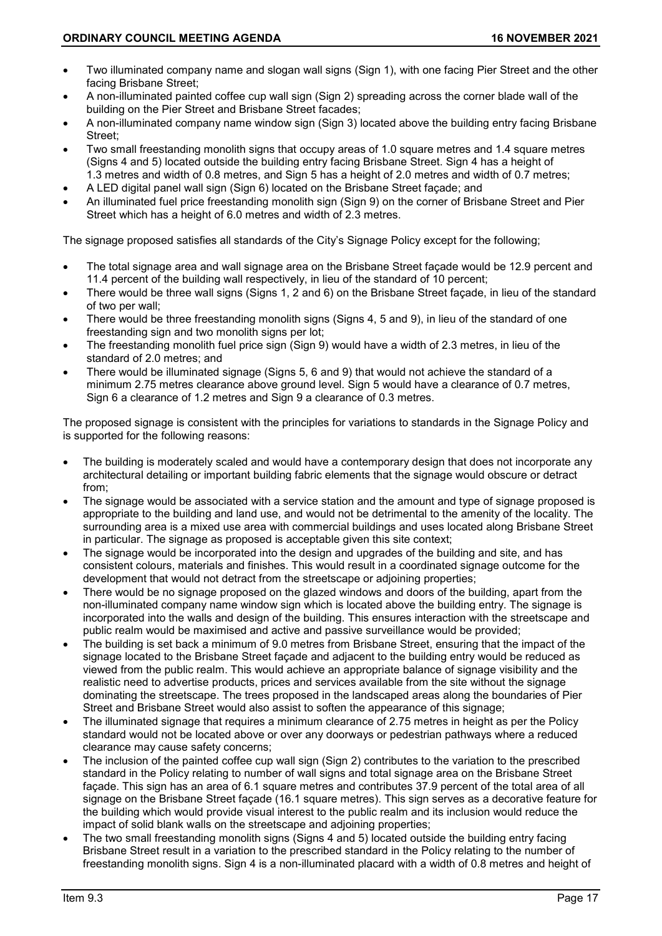- Two illuminated company name and slogan wall signs (Sign 1), with one facing Pier Street and the other facing Brisbane Street;
- A non-illuminated painted coffee cup wall sign (Sign 2) spreading across the corner blade wall of the building on the Pier Street and Brisbane Street facades;
- A non-illuminated company name window sign (Sign 3) located above the building entry facing Brisbane Street;
- Two small freestanding monolith signs that occupy areas of 1.0 square metres and 1.4 square metres (Signs 4 and 5) located outside the building entry facing Brisbane Street. Sign 4 has a height of 1.3 metres and width of 0.8 metres, and Sign 5 has a height of 2.0 metres and width of 0.7 metres;
- A LED digital panel wall sign (Sign 6) located on the Brisbane Street façade; and
- An illuminated fuel price freestanding monolith sign (Sign 9) on the corner of Brisbane Street and Pier Street which has a height of 6.0 metres and width of 2.3 metres.

The signage proposed satisfies all standards of the City's Signage Policy except for the following;

- The total signage area and wall signage area on the Brisbane Street façade would be 12.9 percent and 11.4 percent of the building wall respectively, in lieu of the standard of 10 percent;
- There would be three wall signs (Signs 1, 2 and 6) on the Brisbane Street façade, in lieu of the standard of two per wall;
- There would be three freestanding monolith signs (Signs 4, 5 and 9), in lieu of the standard of one freestanding sign and two monolith signs per lot;
- The freestanding monolith fuel price sign (Sign 9) would have a width of 2.3 metres, in lieu of the standard of 2.0 metres; and
- There would be illuminated signage (Signs 5, 6 and 9) that would not achieve the standard of a minimum 2.75 metres clearance above ground level. Sign 5 would have a clearance of 0.7 metres, Sign 6 a clearance of 1.2 metres and Sign 9 a clearance of 0.3 metres.

The proposed signage is consistent with the principles for variations to standards in the Signage Policy and is supported for the following reasons:

- The building is moderately scaled and would have a contemporary design that does not incorporate any architectural detailing or important building fabric elements that the signage would obscure or detract from;
- The signage would be associated with a service station and the amount and type of signage proposed is appropriate to the building and land use, and would not be detrimental to the amenity of the locality. The surrounding area is a mixed use area with commercial buildings and uses located along Brisbane Street in particular. The signage as proposed is acceptable given this site context;
- The signage would be incorporated into the design and upgrades of the building and site, and has consistent colours, materials and finishes. This would result in a coordinated signage outcome for the development that would not detract from the streetscape or adjoining properties;
- There would be no signage proposed on the glazed windows and doors of the building, apart from the non-illuminated company name window sign which is located above the building entry. The signage is incorporated into the walls and design of the building. This ensures interaction with the streetscape and public realm would be maximised and active and passive surveillance would be provided;
- The building is set back a minimum of 9.0 metres from Brisbane Street, ensuring that the impact of the signage located to the Brisbane Street façade and adjacent to the building entry would be reduced as viewed from the public realm. This would achieve an appropriate balance of signage visibility and the realistic need to advertise products, prices and services available from the site without the signage dominating the streetscape. The trees proposed in the landscaped areas along the boundaries of Pier Street and Brisbane Street would also assist to soften the appearance of this signage;
- The illuminated signage that requires a minimum clearance of 2.75 metres in height as per the Policy standard would not be located above or over any doorways or pedestrian pathways where a reduced clearance may cause safety concerns;
- The inclusion of the painted coffee cup wall sign (Sign 2) contributes to the variation to the prescribed standard in the Policy relating to number of wall signs and total signage area on the Brisbane Street facade. This sign has an area of 6.1 square metres and contributes 37.9 percent of the total area of all signage on the Brisbane Street façade (16.1 square metres). This sign serves as a decorative feature for the building which would provide visual interest to the public realm and its inclusion would reduce the impact of solid blank walls on the streetscape and adjoining properties;
- The two small freestanding monolith signs (Signs 4 and 5) located outside the building entry facing Brisbane Street result in a variation to the prescribed standard in the Policy relating to the number of freestanding monolith signs. Sign 4 is a non-illuminated placard with a width of 0.8 metres and height of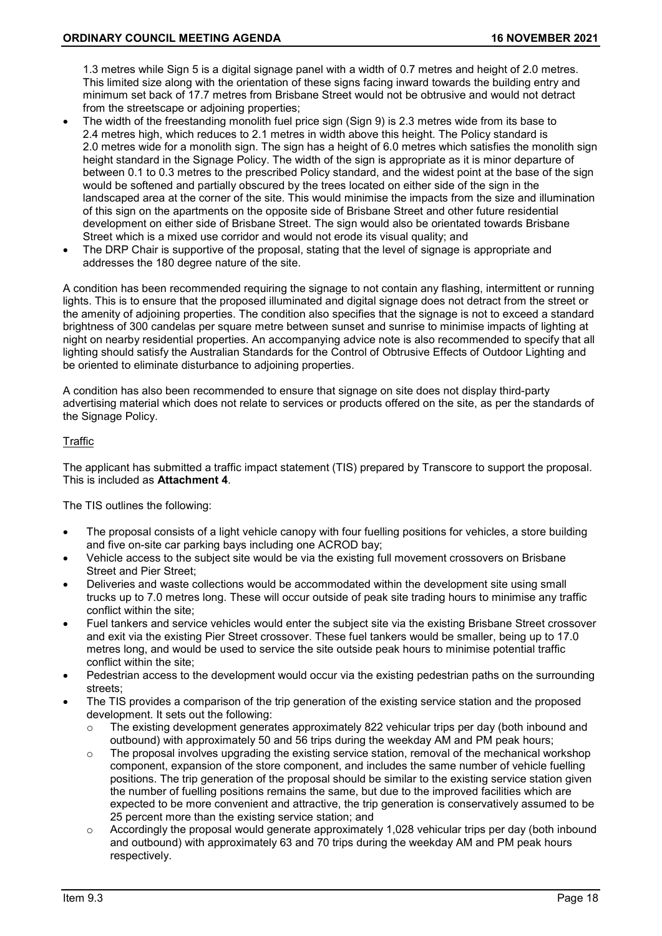1.3 metres while Sign 5 is a digital signage panel with a width of 0.7 metres and height of 2.0 metres. This limited size along with the orientation of these signs facing inward towards the building entry and minimum set back of 17.7 metres from Brisbane Street would not be obtrusive and would not detract from the streetscape or adjoining properties;

- The width of the freestanding monolith fuel price sign (Sign 9) is 2.3 metres wide from its base to 2.4 metres high, which reduces to 2.1 metres in width above this height. The Policy standard is 2.0 metres wide for a monolith sign. The sign has a height of 6.0 metres which satisfies the monolith sign height standard in the Signage Policy. The width of the sign is appropriate as it is minor departure of between 0.1 to 0.3 metres to the prescribed Policy standard, and the widest point at the base of the sign would be softened and partially obscured by the trees located on either side of the sign in the landscaped area at the corner of the site. This would minimise the impacts from the size and illumination of this sign on the apartments on the opposite side of Brisbane Street and other future residential development on either side of Brisbane Street. The sign would also be orientated towards Brisbane Street which is a mixed use corridor and would not erode its visual quality; and
- The DRP Chair is supportive of the proposal, stating that the level of signage is appropriate and addresses the 180 degree nature of the site.

A condition has been recommended requiring the signage to not contain any flashing, intermittent or running lights. This is to ensure that the proposed illuminated and digital signage does not detract from the street or the amenity of adjoining properties. The condition also specifies that the signage is not to exceed a standard brightness of 300 candelas per square metre between sunset and sunrise to minimise impacts of lighting at night on nearby residential properties. An accompanying advice note is also recommended to specify that all lighting should satisfy the Australian Standards for the Control of Obtrusive Effects of Outdoor Lighting and be oriented to eliminate disturbance to adjoining properties.

A condition has also been recommended to ensure that signage on site does not display third-party advertising material which does not relate to services or products offered on the site, as per the standards of the Signage Policy.

### Traffic

The applicant has submitted a traffic impact statement (TIS) prepared by Transcore to support the proposal. This is included as **Attachment 4**.

The TIS outlines the following:

- The proposal consists of a light vehicle canopy with four fuelling positions for vehicles, a store building and five on-site car parking bays including one ACROD bay;
- Vehicle access to the subject site would be via the existing full movement crossovers on Brisbane Street and Pier Street;
- Deliveries and waste collections would be accommodated within the development site using small trucks up to 7.0 metres long. These will occur outside of peak site trading hours to minimise any traffic conflict within the site;
- Fuel tankers and service vehicles would enter the subject site via the existing Brisbane Street crossover and exit via the existing Pier Street crossover. These fuel tankers would be smaller, being up to 17.0 metres long, and would be used to service the site outside peak hours to minimise potential traffic conflict within the site;
- Pedestrian access to the development would occur via the existing pedestrian paths on the surrounding streets;
- The TIS provides a comparison of the trip generation of the existing service station and the proposed development. It sets out the following:
	- $\circ$  The existing development generates approximately 822 vehicular trips per day (both inbound and outbound) with approximately 50 and 56 trips during the weekday AM and PM peak hours;
	- $\circ$  The proposal involves upgrading the existing service station, removal of the mechanical workshop component, expansion of the store component, and includes the same number of vehicle fuelling positions. The trip generation of the proposal should be similar to the existing service station given the number of fuelling positions remains the same, but due to the improved facilities which are expected to be more convenient and attractive, the trip generation is conservatively assumed to be 25 percent more than the existing service station; and
	- $\circ$  Accordingly the proposal would generate approximately 1,028 vehicular trips per day (both inbound and outbound) with approximately 63 and 70 trips during the weekday AM and PM peak hours respectively.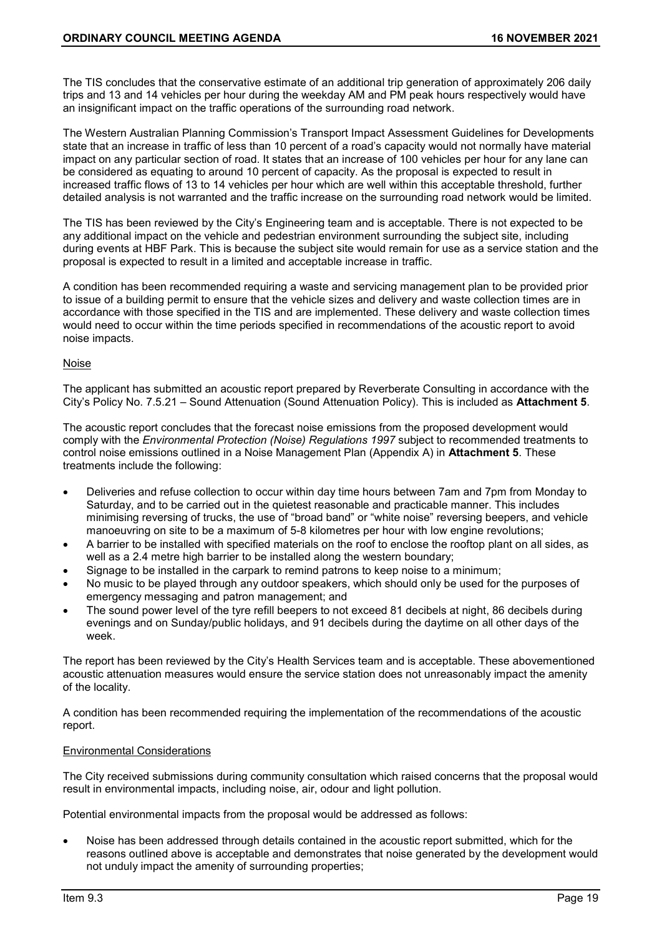The TIS concludes that the conservative estimate of an additional trip generation of approximately 206 daily trips and 13 and 14 vehicles per hour during the weekday AM and PM peak hours respectively would have an insignificant impact on the traffic operations of the surrounding road network.

The Western Australian Planning Commission's Transport Impact Assessment Guidelines for Developments state that an increase in traffic of less than 10 percent of a road's capacity would not normally have material impact on any particular section of road. It states that an increase of 100 vehicles per hour for any lane can be considered as equating to around 10 percent of capacity. As the proposal is expected to result in increased traffic flows of 13 to 14 vehicles per hour which are well within this acceptable threshold, further detailed analysis is not warranted and the traffic increase on the surrounding road network would be limited.

The TIS has been reviewed by the City's Engineering team and is acceptable. There is not expected to be any additional impact on the vehicle and pedestrian environment surrounding the subject site, including during events at HBF Park. This is because the subject site would remain for use as a service station and the proposal is expected to result in a limited and acceptable increase in traffic.

A condition has been recommended requiring a waste and servicing management plan to be provided prior to issue of a building permit to ensure that the vehicle sizes and delivery and waste collection times are in accordance with those specified in the TIS and are implemented. These delivery and waste collection times would need to occur within the time periods specified in recommendations of the acoustic report to avoid noise impacts.

### Noise

The applicant has submitted an acoustic report prepared by Reverberate Consulting in accordance with the City's Policy No. 7.5.21 – Sound Attenuation (Sound Attenuation Policy). This is included as **Attachment 5**.

The acoustic report concludes that the forecast noise emissions from the proposed development would comply with the *Environmental Protection (Noise) Regulations 1997* subject to recommended treatments to control noise emissions outlined in a Noise Management Plan (Appendix A) in **Attachment 5**. These treatments include the following:

- Deliveries and refuse collection to occur within day time hours between 7am and 7pm from Monday to Saturday, and to be carried out in the quietest reasonable and practicable manner. This includes minimising reversing of trucks, the use of "broad band" or "white noise" reversing beepers, and vehicle manoeuvring on site to be a maximum of 5-8 kilometres per hour with low engine revolutions;
- A barrier to be installed with specified materials on the roof to enclose the rooftop plant on all sides, as well as a 2.4 metre high barrier to be installed along the western boundary;
- Signage to be installed in the carpark to remind patrons to keep noise to a minimum;
- No music to be played through any outdoor speakers, which should only be used for the purposes of emergency messaging and patron management; and
- The sound power level of the tyre refill beepers to not exceed 81 decibels at night, 86 decibels during evenings and on Sunday/public holidays, and 91 decibels during the daytime on all other days of the week.

The report has been reviewed by the City's Health Services team and is acceptable. These abovementioned acoustic attenuation measures would ensure the service station does not unreasonably impact the amenity of the locality.

A condition has been recommended requiring the implementation of the recommendations of the acoustic report.

#### Environmental Considerations

The City received submissions during community consultation which raised concerns that the proposal would result in environmental impacts, including noise, air, odour and light pollution.

Potential environmental impacts from the proposal would be addressed as follows:

• Noise has been addressed through details contained in the acoustic report submitted, which for the reasons outlined above is acceptable and demonstrates that noise generated by the development would not unduly impact the amenity of surrounding properties;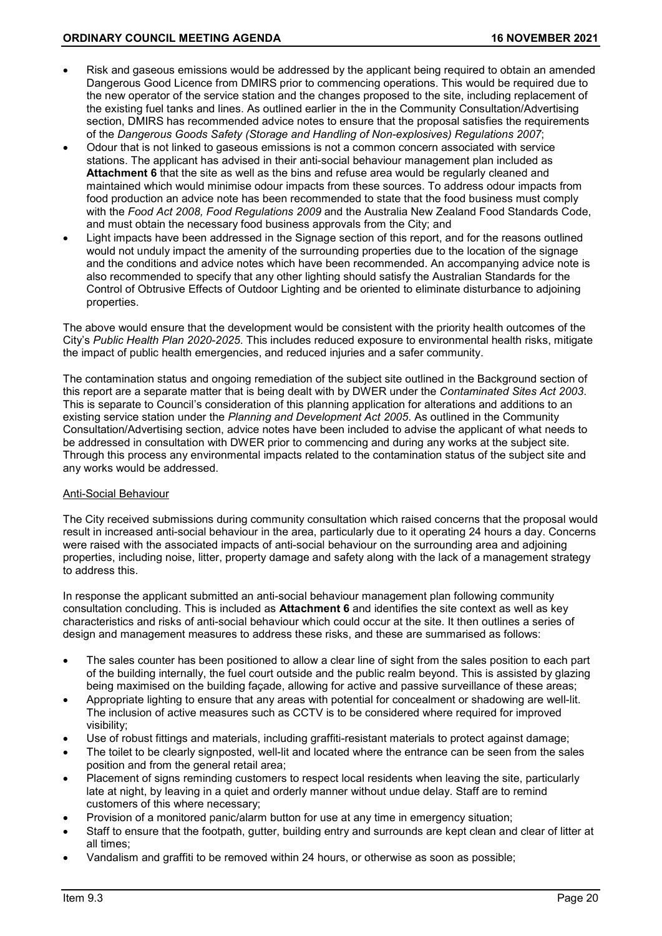- Risk and gaseous emissions would be addressed by the applicant being required to obtain an amended Dangerous Good Licence from DMIRS prior to commencing operations. This would be required due to the new operator of the service station and the changes proposed to the site, including replacement of the existing fuel tanks and lines. As outlined earlier in the in the Community Consultation/Advertising section, DMIRS has recommended advice notes to ensure that the proposal satisfies the requirements of the *Dangerous Goods Safety (Storage and Handling of Non-explosives) Regulations 2007*;
- Odour that is not linked to gaseous emissions is not a common concern associated with service stations. The applicant has advised in their anti-social behaviour management plan included as **Attachment 6** that the site as well as the bins and refuse area would be regularly cleaned and maintained which would minimise odour impacts from these sources. To address odour impacts from food production an advice note has been recommended to state that the food business must comply with the *Food Act 2008, Food Regulations 2009* and the Australia New Zealand Food Standards Code, and must obtain the necessary food business approvals from the City; and
- Light impacts have been addressed in the Signage section of this report, and for the reasons outlined would not unduly impact the amenity of the surrounding properties due to the location of the signage and the conditions and advice notes which have been recommended. An accompanying advice note is also recommended to specify that any other lighting should satisfy the Australian Standards for the Control of Obtrusive Effects of Outdoor Lighting and be oriented to eliminate disturbance to adjoining properties.

The above would ensure that the development would be consistent with the priority health outcomes of the City's *Public Health Plan 2020-2025*. This includes reduced exposure to environmental health risks, mitigate the impact of public health emergencies, and reduced injuries and a safer community.

The contamination status and ongoing remediation of the subject site outlined in the Background section of this report are a separate matter that is being dealt with by DWER under the *Contaminated Sites Act 2003*. This is separate to Council's consideration of this planning application for alterations and additions to an existing service station under the *Planning and Development Act 2005*. As outlined in the Community Consultation/Advertising section, advice notes have been included to advise the applicant of what needs to be addressed in consultation with DWER prior to commencing and during any works at the subject site. Through this process any environmental impacts related to the contamination status of the subject site and any works would be addressed.

# Anti-Social Behaviour

The City received submissions during community consultation which raised concerns that the proposal would result in increased anti-social behaviour in the area, particularly due to it operating 24 hours a day. Concerns were raised with the associated impacts of anti-social behaviour on the surrounding area and adjoining properties, including noise, litter, property damage and safety along with the lack of a management strategy to address this.

In response the applicant submitted an anti-social behaviour management plan following community consultation concluding. This is included as **Attachment 6** and identifies the site context as well as key characteristics and risks of anti-social behaviour which could occur at the site. It then outlines a series of design and management measures to address these risks, and these are summarised as follows:

- The sales counter has been positioned to allow a clear line of sight from the sales position to each part of the building internally, the fuel court outside and the public realm beyond. This is assisted by glazing being maximised on the building façade, allowing for active and passive surveillance of these areas;
- Appropriate lighting to ensure that any areas with potential for concealment or shadowing are well-lit. The inclusion of active measures such as CCTV is to be considered where required for improved visibility;
- Use of robust fittings and materials, including graffiti-resistant materials to protect against damage;
- The toilet to be clearly signposted, well-lit and located where the entrance can be seen from the sales position and from the general retail area;
- Placement of signs reminding customers to respect local residents when leaving the site, particularly late at night, by leaving in a quiet and orderly manner without undue delay. Staff are to remind customers of this where necessary;
- Provision of a monitored panic/alarm button for use at any time in emergency situation;
- Staff to ensure that the footpath, gutter, building entry and surrounds are kept clean and clear of litter at all times;
- Vandalism and graffiti to be removed within 24 hours, or otherwise as soon as possible;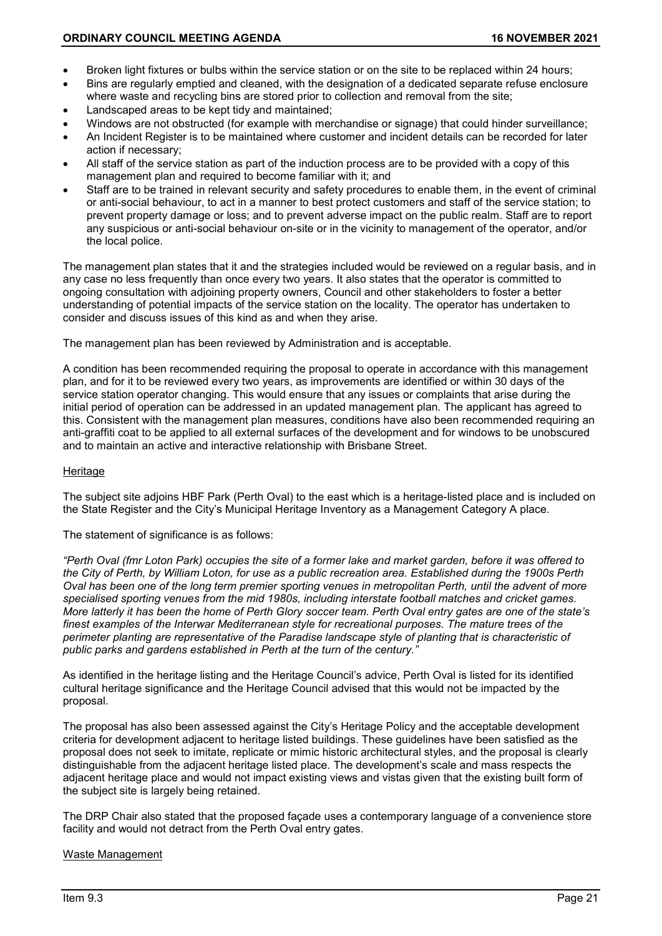- Broken light fixtures or bulbs within the service station or on the site to be replaced within 24 hours;
- Bins are regularly emptied and cleaned, with the designation of a dedicated separate refuse enclosure where waste and recycling bins are stored prior to collection and removal from the site;
- Landscaped areas to be kept tidy and maintained;
- Windows are not obstructed (for example with merchandise or signage) that could hinder surveillance;
- An Incident Register is to be maintained where customer and incident details can be recorded for later action if necessary;
- All staff of the service station as part of the induction process are to be provided with a copy of this management plan and required to become familiar with it; and
- Staff are to be trained in relevant security and safety procedures to enable them, in the event of criminal or anti-social behaviour, to act in a manner to best protect customers and staff of the service station; to prevent property damage or loss; and to prevent adverse impact on the public realm. Staff are to report any suspicious or anti-social behaviour on-site or in the vicinity to management of the operator, and/or the local police.

The management plan states that it and the strategies included would be reviewed on a regular basis, and in any case no less frequently than once every two years. It also states that the operator is committed to ongoing consultation with adjoining property owners, Council and other stakeholders to foster a better understanding of potential impacts of the service station on the locality. The operator has undertaken to consider and discuss issues of this kind as and when they arise.

The management plan has been reviewed by Administration and is acceptable.

A condition has been recommended requiring the proposal to operate in accordance with this management plan, and for it to be reviewed every two years, as improvements are identified or within 30 days of the service station operator changing. This would ensure that any issues or complaints that arise during the initial period of operation can be addressed in an updated management plan. The applicant has agreed to this. Consistent with the management plan measures, conditions have also been recommended requiring an anti-graffiti coat to be applied to all external surfaces of the development and for windows to be unobscured and to maintain an active and interactive relationship with Brisbane Street.

### Heritage

The subject site adjoins HBF Park (Perth Oval) to the east which is a heritage-listed place and is included on the State Register and the City's Municipal Heritage Inventory as a Management Category A place.

#### The statement of significance is as follows:

*"Perth Oval (fmr Loton Park) occupies the site of a former lake and market garden, before it was offered to the City of Perth, by William Loton, for use as a public recreation area. Established during the 1900s Perth Oval has been one of the long term premier sporting venues in metropolitan Perth, until the advent of more specialised sporting venues from the mid 1980s, including interstate football matches and cricket games. More latterly it has been the home of Perth Glory soccer team. Perth Oval entry gates are one of the state's finest examples of the Interwar Mediterranean style for recreational purposes. The mature trees of the perimeter planting are representative of the Paradise landscape style of planting that is characteristic of public parks and gardens established in Perth at the turn of the century."*

As identified in the heritage listing and the Heritage Council's advice, Perth Oval is listed for its identified cultural heritage significance and the Heritage Council advised that this would not be impacted by the proposal.

The proposal has also been assessed against the City's Heritage Policy and the acceptable development criteria for development adjacent to heritage listed buildings. These guidelines have been satisfied as the proposal does not seek to imitate, replicate or mimic historic architectural styles, and the proposal is clearly distinguishable from the adjacent heritage listed place. The development's scale and mass respects the adjacent heritage place and would not impact existing views and vistas given that the existing built form of the subject site is largely being retained.

The DRP Chair also stated that the proposed façade uses a contemporary language of a convenience store facility and would not detract from the Perth Oval entry gates.

#### Waste Management